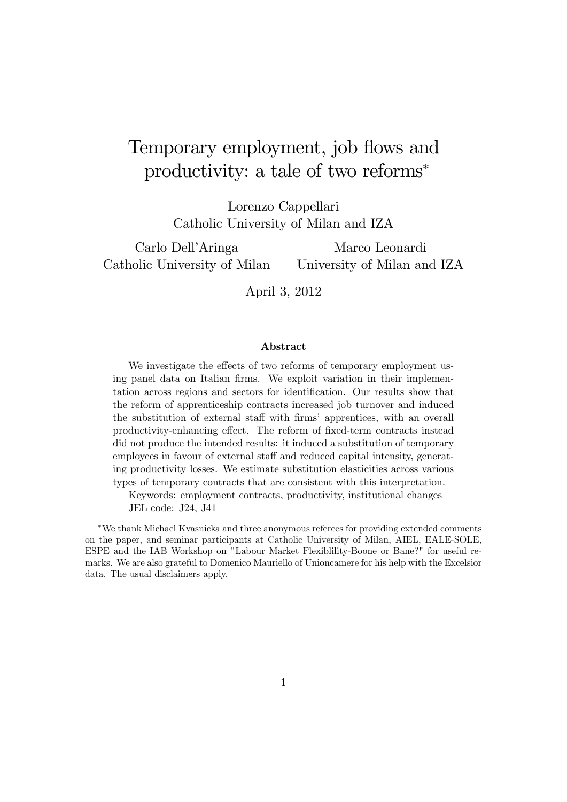# Temporary employment, job flows and productivity: a tale of two reforms

Lorenzo Cappellari Catholic University of Milan and IZA

Carlo Dell'Aringa Catholic University of Milan

Marco Leonardi University of Milan and IZA

April 3, 2012

#### Abstract

We investigate the effects of two reforms of temporary employment using panel data on Italian firms. We exploit variation in their implementation across regions and sectors for identification. Our results show that the reform of apprenticeship contracts increased job turnover and induced the substitution of external staff with firms' apprentices, with an overall productivity-enhancing effect. The reform of fixed-term contracts instead did not produce the intended results: it induced a substitution of temporary employees in favour of external staff and reduced capital intensity, generating productivity losses. We estimate substitution elasticities across various types of temporary contracts that are consistent with this interpretation.

Keywords: employment contracts, productivity, institutional changes JEL code: J24, J41

We thank Michael Kvasnicka and three anonymous referees for providing extended comments on the paper, and seminar participants at Catholic University of Milan, AIEL, EALE-SOLE, ESPE and the IAB Workshop on "Labour Market Flexiblility-Boone or Bane?" for useful remarks. We are also grateful to Domenico Mauriello of Unioncamere for his help with the Excelsior data. The usual disclaimers apply.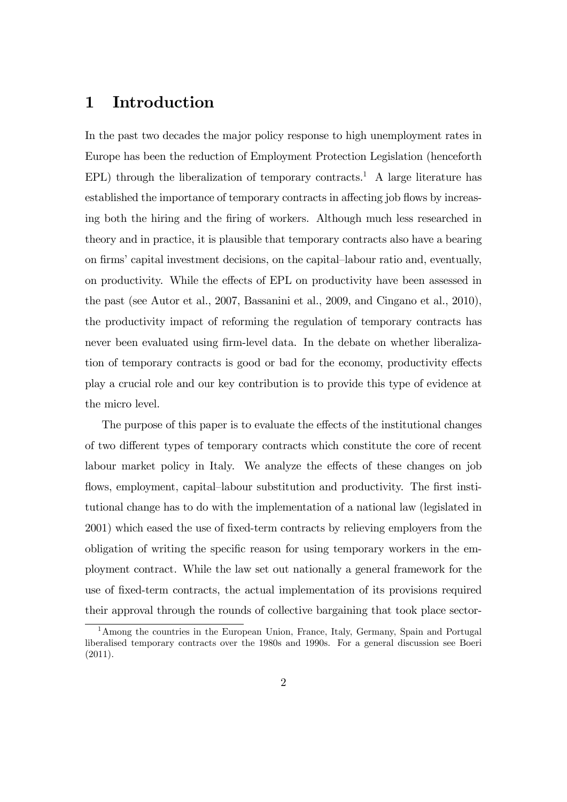### 1 Introduction

In the past two decades the major policy response to high unemployment rates in Europe has been the reduction of Employment Protection Legislation (henceforth EPL) through the liberalization of temporary contracts.<sup>1</sup> A large literature has established the importance of temporary contracts in affecting job flows by increasing both the hiring and the firing of workers. Although much less researched in theory and in practice, it is plausible that temporary contracts also have a bearing on firms' capital investment decisions, on the capital–labour ratio and, eventually, on productivity. While the effects of EPL on productivity have been assessed in the past (see Autor et al., 2007, Bassanini et al., 2009, and Cingano et al., 2010), the productivity impact of reforming the regulation of temporary contracts has never been evaluated using firm-level data. In the debate on whether liberalization of temporary contracts is good or bad for the economy, productivity effects play a crucial role and our key contribution is to provide this type of evidence at the micro level.

The purpose of this paper is to evaluate the effects of the institutional changes of two different types of temporary contracts which constitute the core of recent labour market policy in Italy. We analyze the effects of these changes on job flows, employment, capital–labour substitution and productivity. The first institutional change has to do with the implementation of a national law (legislated in 2001) which eased the use of fixed-term contracts by relieving employers from the obligation of writing the specific reason for using temporary workers in the employment contract. While the law set out nationally a general framework for the use of Öxed-term contracts, the actual implementation of its provisions required their approval through the rounds of collective bargaining that took place sector-

<sup>1</sup>Among the countries in the European Union, France, Italy, Germany, Spain and Portugal liberalised temporary contracts over the 1980s and 1990s. For a general discussion see Boeri (2011).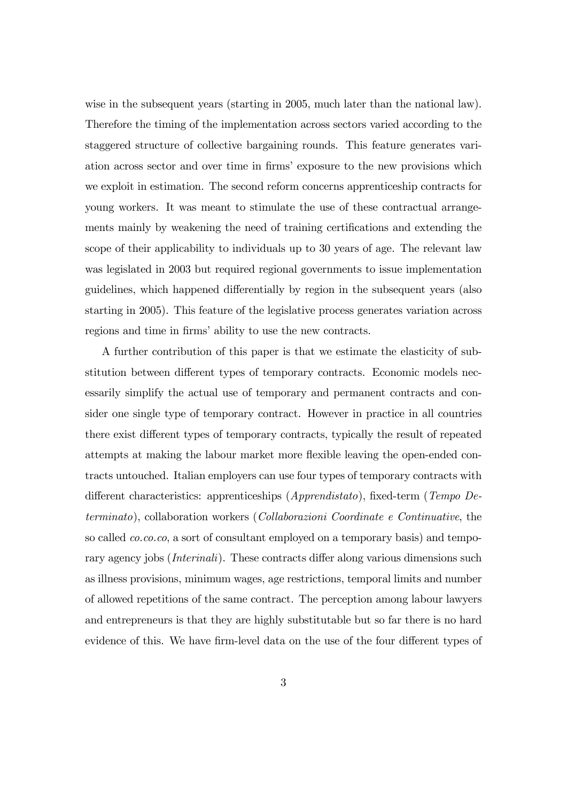wise in the subsequent years (starting in 2005, much later than the national law). Therefore the timing of the implementation across sectors varied according to the staggered structure of collective bargaining rounds. This feature generates variation across sector and over time in firms' exposure to the new provisions which we exploit in estimation. The second reform concerns apprenticeship contracts for young workers. It was meant to stimulate the use of these contractual arrangements mainly by weakening the need of training certifications and extending the scope of their applicability to individuals up to 30 years of age. The relevant law was legislated in 2003 but required regional governments to issue implementation guidelines, which happened differentially by region in the subsequent years (also starting in 2005). This feature of the legislative process generates variation across regions and time in firms' ability to use the new contracts.

A further contribution of this paper is that we estimate the elasticity of substitution between different types of temporary contracts. Economic models necessarily simplify the actual use of temporary and permanent contracts and consider one single type of temporary contract. However in practice in all countries there exist different types of temporary contracts, typically the result of repeated attempts at making the labour market more flexible leaving the open-ended contracts untouched. Italian employers can use four types of temporary contracts with different characteristics: apprenticeships ( $Apprendistato$ ), fixed-term (Tempo Determinato), collaboration workers (Collaborazioni Coordinate e Continuative, the so called *co.co.co*, a sort of consultant employed on a temporary basis) and temporary agency jobs (*Interinali*). These contracts differ along various dimensions such as illness provisions, minimum wages, age restrictions, temporal limits and number of allowed repetitions of the same contract. The perception among labour lawyers and entrepreneurs is that they are highly substitutable but so far there is no hard evidence of this. We have firm-level data on the use of the four different types of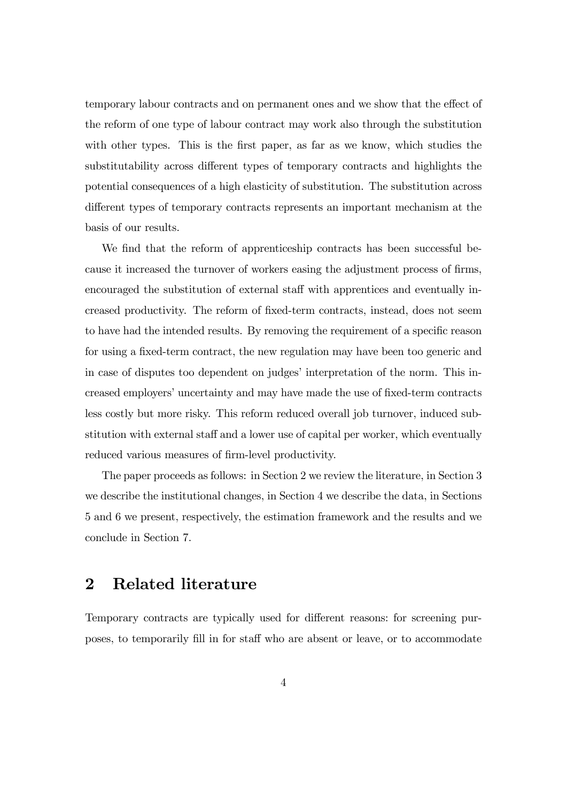temporary labour contracts and on permanent ones and we show that the effect of the reform of one type of labour contract may work also through the substitution with other types. This is the first paper, as far as we know, which studies the substitutability across different types of temporary contracts and highlights the potential consequences of a high elasticity of substitution. The substitution across different types of temporary contracts represents an important mechanism at the basis of our results.

We find that the reform of apprenticeship contracts has been successful because it increased the turnover of workers easing the adjustment process of firms, encouraged the substitution of external staff with apprentices and eventually increased productivity. The reform of Öxed-term contracts, instead, does not seem to have had the intended results. By removing the requirement of a specific reason for using a fixed-term contract, the new regulation may have been too generic and in case of disputes too dependent on judges' interpretation of the norm. This increased employers' uncertainty and may have made the use of fixed-term contracts less costly but more risky. This reform reduced overall job turnover, induced substitution with external staff and a lower use of capital per worker, which eventually reduced various measures of firm-level productivity.

The paper proceeds as follows: in Section 2 we review the literature, in Section 3 we describe the institutional changes, in Section 4 we describe the data, in Sections 5 and 6 we present, respectively, the estimation framework and the results and we conclude in Section 7.

### 2 Related literature

Temporary contracts are typically used for different reasons: for screening purposes, to temporarily fill in for staff who are absent or leave, or to accommodate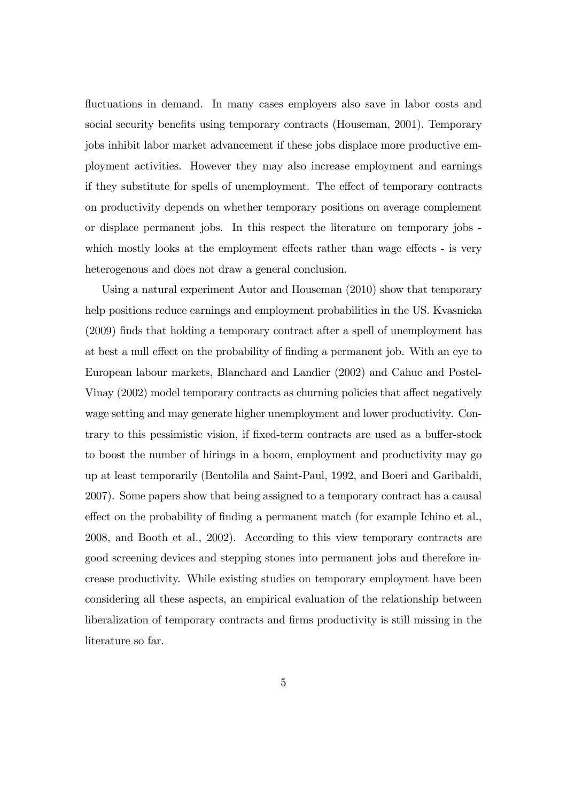fluctuations in demand. In many cases employers also save in labor costs and social security benefits using temporary contracts (Houseman, 2001). Temporary jobs inhibit labor market advancement if these jobs displace more productive employment activities. However they may also increase employment and earnings if they substitute for spells of unemployment. The effect of temporary contracts on productivity depends on whether temporary positions on average complement or displace permanent jobs. In this respect the literature on temporary jobs which mostly looks at the employment effects rather than wage effects - is very heterogenous and does not draw a general conclusion.

Using a natural experiment Autor and Houseman (2010) show that temporary help positions reduce earnings and employment probabilities in the US. Kvasnicka (2009) Önds that holding a temporary contract after a spell of unemployment has at best a null effect on the probability of finding a permanent job. With an eye to European labour markets, Blanchard and Landier (2002) and Cahuc and Postel-Vinay (2002) model temporary contracts as churning policies that affect negatively wage setting and may generate higher unemployment and lower productivity. Contrary to this pessimistic vision, if fixed-term contracts are used as a buffer-stock to boost the number of hirings in a boom, employment and productivity may go up at least temporarily (Bentolila and Saint-Paul, 1992, and Boeri and Garibaldi, 2007). Some papers show that being assigned to a temporary contract has a causal effect on the probability of finding a permanent match (for example Ichino et al., 2008, and Booth et al., 2002). According to this view temporary contracts are good screening devices and stepping stones into permanent jobs and therefore increase productivity. While existing studies on temporary employment have been considering all these aspects, an empirical evaluation of the relationship between liberalization of temporary contracts and Örms productivity is still missing in the literature so far.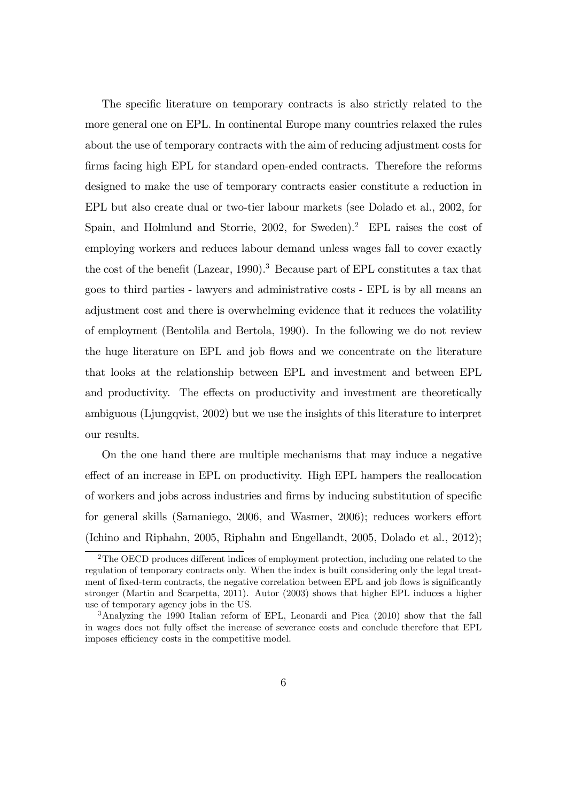The specific literature on temporary contracts is also strictly related to the more general one on EPL. In continental Europe many countries relaxed the rules about the use of temporary contracts with the aim of reducing adjustment costs for firms facing high EPL for standard open-ended contracts. Therefore the reforms designed to make the use of temporary contracts easier constitute a reduction in EPL but also create dual or two-tier labour markets (see Dolado et al., 2002, for Spain, and Holmlund and Storrie,  $2002$ , for Sweden).<sup>2</sup> EPL raises the cost of employing workers and reduces labour demand unless wages fall to cover exactly the cost of the benefit (Lazear, 1990).<sup>3</sup> Because part of EPL constitutes a tax that goes to third parties - lawyers and administrative costs - EPL is by all means an adjustment cost and there is overwhelming evidence that it reduces the volatility of employment (Bentolila and Bertola, 1990). In the following we do not review the huge literature on EPL and job áows and we concentrate on the literature that looks at the relationship between EPL and investment and between EPL and productivity. The effects on productivity and investment are theoretically ambiguous (Ljungqvist, 2002) but we use the insights of this literature to interpret our results.

On the one hand there are multiple mechanisms that may induce a negative effect of an increase in EPL on productivity. High EPL hampers the reallocation of workers and jobs across industries and firms by inducing substitution of specific for general skills (Samaniego, 2006, and Wasmer, 2006); reduces workers effort (Ichino and Riphahn, 2005, Riphahn and Engellandt, 2005, Dolado et al., 2012);

 $2$ The OECD produces different indices of employment protection, including one related to the regulation of temporary contracts only. When the index is built considering only the legal treatment of fixed-term contracts, the negative correlation between EPL and job flows is significantly stronger (Martin and Scarpetta, 2011). Autor (2003) shows that higher EPL induces a higher use of temporary agency jobs in the US.

<sup>&</sup>lt;sup>3</sup>Analyzing the 1990 Italian reform of EPL, Leonardi and Pica (2010) show that the fall in wages does not fully offset the increase of severance costs and conclude therefore that EPL imposes efficiency costs in the competitive model.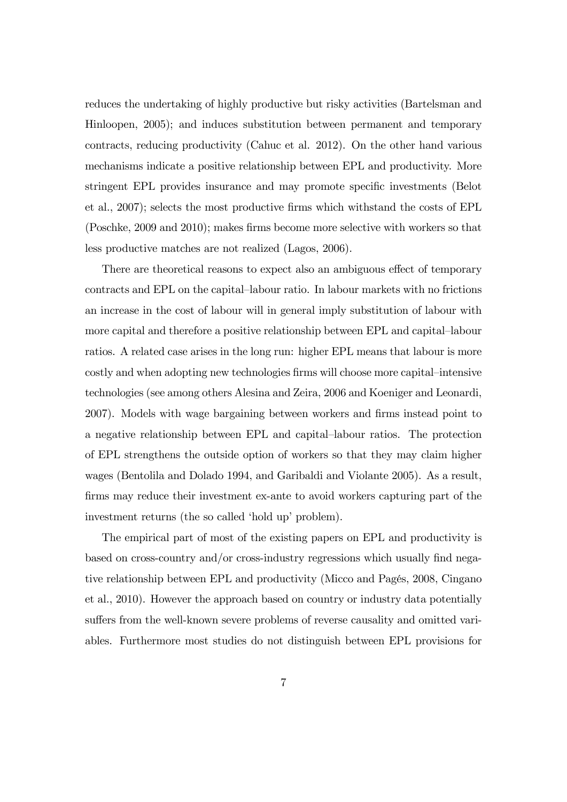reduces the undertaking of highly productive but risky activities (Bartelsman and Hinloopen, 2005); and induces substitution between permanent and temporary contracts, reducing productivity (Cahuc et al. 2012). On the other hand various mechanisms indicate a positive relationship between EPL and productivity. More stringent EPL provides insurance and may promote specific investments (Belot et al., 2007); selects the most productive Örms which withstand the costs of EPL (Poschke, 2009 and 2010); makes Örms become more selective with workers so that less productive matches are not realized (Lagos, 2006).

There are theoretical reasons to expect also an ambiguous effect of temporary contracts and EPL on the capital–labour ratio. In labour markets with no frictions an increase in the cost of labour will in general imply substitution of labour with more capital and therefore a positive relationship between EPL and capital-labour ratios. A related case arises in the long run: higher EPL means that labour is more costly and when adopting new technologies firms will choose more capital–intensive technologies (see among others Alesina and Zeira, 2006 and Koeniger and Leonardi, 2007). Models with wage bargaining between workers and firms instead point to a negative relationship between EPL and capital–labour ratios. The protection of EPL strengthens the outside option of workers so that they may claim higher wages (Bentolila and Dolado 1994, and Garibaldi and Violante 2005). As a result, firms may reduce their investment ex-ante to avoid workers capturing part of the investment returns (the so called 'hold up' problem).

The empirical part of most of the existing papers on EPL and productivity is based on cross-country and/or cross-industry regressions which usually find negative relationship between EPL and productivity (Micco and Pagés, 2008, Cingano et al., 2010). However the approach based on country or industry data potentially suffers from the well-known severe problems of reverse causality and omitted variables. Furthermore most studies do not distinguish between EPL provisions for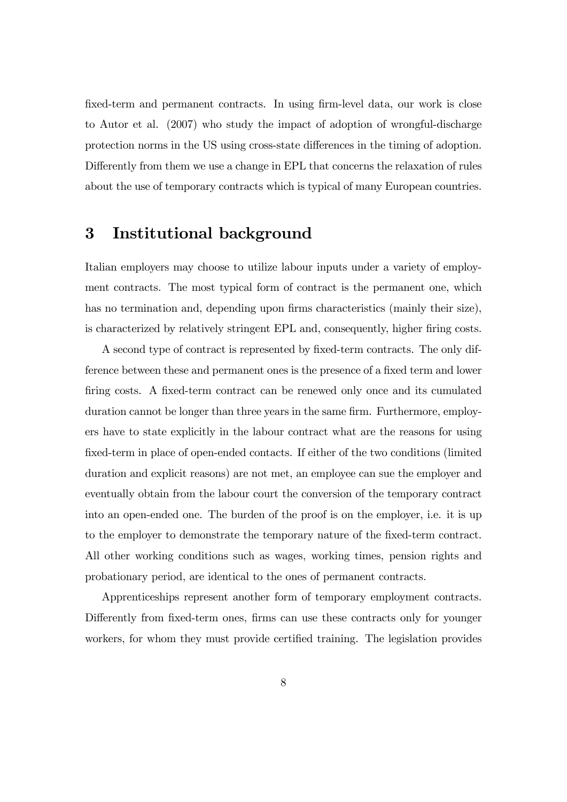fixed-term and permanent contracts. In using firm-level data, our work is close to Autor et al. (2007) who study the impact of adoption of wrongful-discharge protection norms in the US using cross-state differences in the timing of adoption. Differently from them we use a change in EPL that concerns the relaxation of rules about the use of temporary contracts which is typical of many European countries.

## 3 Institutional background

Italian employers may choose to utilize labour inputs under a variety of employment contracts. The most typical form of contract is the permanent one, which has no termination and, depending upon firms characteristics (mainly their size), is characterized by relatively stringent EPL and, consequently, higher firing costs.

A second type of contract is represented by fixed-term contracts. The only difference between these and permanent ones is the presence of a fixed term and lower firing costs. A fixed-term contract can be renewed only once and its cumulated duration cannot be longer than three years in the same firm. Furthermore, employers have to state explicitly in the labour contract what are the reasons for using fixed-term in place of open-ended contacts. If either of the two conditions (limited duration and explicit reasons) are not met, an employee can sue the employer and eventually obtain from the labour court the conversion of the temporary contract into an open-ended one. The burden of the proof is on the employer, i.e. it is up to the employer to demonstrate the temporary nature of the Öxed-term contract. All other working conditions such as wages, working times, pension rights and probationary period, are identical to the ones of permanent contracts.

Apprenticeships represent another form of temporary employment contracts. Differently from fixed-term ones, firms can use these contracts only for younger workers, for whom they must provide certified training. The legislation provides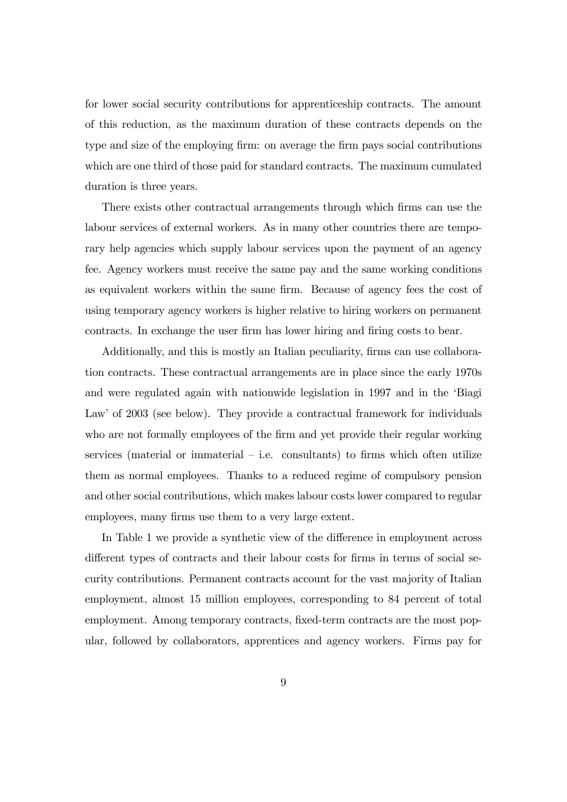for lower social security contributions for apprenticeship contracts. The amount of this reduction, as the maximum duration of these contracts depends on the type and size of the employing firm: on average the firm pays social contributions which are one third of those paid for standard contracts. The maximum cumulated duration is three years.

There exists other contractual arrangements through which firms can use the labour services of external workers. As in many other countries there are temporary help agencies which supply labour services upon the payment of an agency fee. Agency workers must receive the same pay and the same working conditions as equivalent workers within the same firm. Because of agency fees the cost of using temporary agency workers is higher relative to hiring workers on permanent contracts. In exchange the user firm has lower hiring and firing costs to bear.

Additionally, and this is mostly an Italian peculiarity, firms can use collaboration contracts. These contractual arrangements are in place since the early 1970s and were regulated again with nationwide legislation in 1997 and in the 'Biagi Law' of 2003 (see below). They provide a contractual framework for individuals who are not formally employees of the firm and yet provide their regular working services (material or immaterial  $-$  i.e. consultants) to firms which often utilize them as normal employees. Thanks to a reduced regime of compulsory pension and other social contributions, which makes labour costs lower compared to regular employees, many firms use them to a very large extent.

In Table 1 we provide a synthetic view of the difference in employment across different types of contracts and their labour costs for firms in terms of social security contributions. Permanent contracts account for the vast majority of Italian employment, almost 15 million employees, corresponding to 84 percent of total employment. Among temporary contracts, fixed-term contracts are the most popular, followed by collaborators, apprentices and agency workers. Firms pay for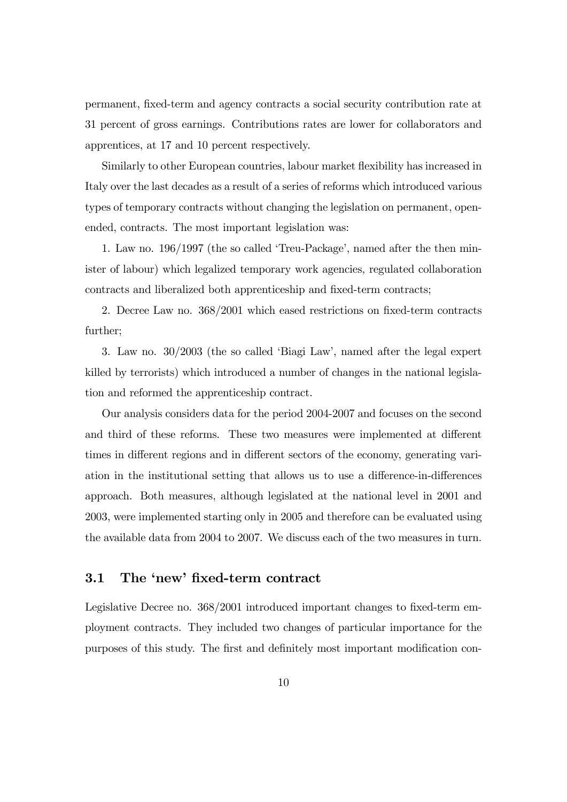permanent, Öxed-term and agency contracts a social security contribution rate at 31 percent of gross earnings. Contributions rates are lower for collaborators and apprentices, at 17 and 10 percent respectively.

Similarly to other European countries, labour market áexibility has increased in Italy over the last decades as a result of a series of reforms which introduced various types of temporary contracts without changing the legislation on permanent, openended, contracts. The most important legislation was:

1. Law no. 196/1997 (the so called 'Treu-Package', named after the then minister of labour) which legalized temporary work agencies, regulated collaboration contracts and liberalized both apprenticeship and fixed-term contracts;

2. Decree Law no.  $368/2001$  which eased restrictions on fixed-term contracts further;

3. Law no.  $30/2003$  (the so called 'Biagi Law', named after the legal expert killed by terrorists) which introduced a number of changes in the national legislation and reformed the apprenticeship contract.

Our analysis considers data for the period 2004-2007 and focuses on the second and third of these reforms. These two measures were implemented at different times in different regions and in different sectors of the economy, generating variation in the institutional setting that allows us to use a difference-in-differences approach. Both measures, although legislated at the national level in 2001 and 2003, were implemented starting only in 2005 and therefore can be evaluated using the available data from 2004 to 2007. We discuss each of the two measures in turn.

#### 3.1 The 'new' fixed-term contract

Legislative Decree no.  $368/2001$  introduced important changes to fixed-term employment contracts. They included two changes of particular importance for the purposes of this study. The first and definitely most important modification con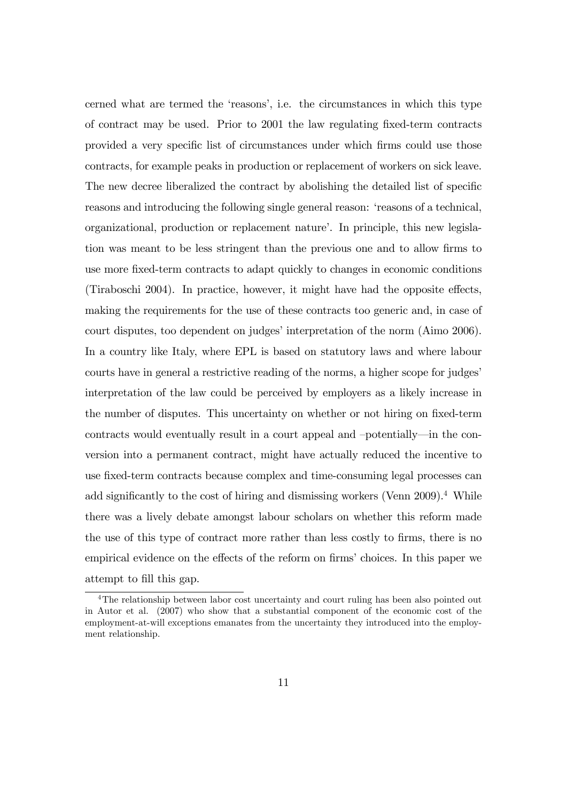cerned what are termed the 'reasons', i.e. the circumstances in which this type of contract may be used. Prior to 2001 the law regulating Öxed-term contracts provided a very specific list of circumstances under which firms could use those contracts, for example peaks in production or replacement of workers on sick leave. The new decree liberalized the contract by abolishing the detailed list of specific reasons and introducing the following single general reason: ëreasons of a technical, organizational, production or replacement nature<sup>2</sup>. In principle, this new legislation was meant to be less stringent than the previous one and to allow firms to use more Öxed-term contracts to adapt quickly to changes in economic conditions (Tiraboschi 2004). In practice, however, it might have had the opposite effects, making the requirements for the use of these contracts too generic and, in case of court disputes, too dependent on judges' interpretation of the norm (Aimo 2006). In a country like Italy, where EPL is based on statutory laws and where labour courts have in general a restrictive reading of the norms, a higher scope for judges' interpretation of the law could be perceived by employers as a likely increase in the number of disputes. This uncertainty on whether or not hiring on fixed-term contracts would eventually result in a court appeal and  $-potentially$  in the conversion into a permanent contract, might have actually reduced the incentive to use fixed-term contracts because complex and time-consuming legal processes can add significantly to the cost of hiring and dismissing workers (Venn  $2009$ ).<sup>4</sup> While there was a lively debate amongst labour scholars on whether this reform made the use of this type of contract more rather than less costly to firms, there is no empirical evidence on the effects of the reform on firms' choices. In this paper we attempt to fill this gap.

<sup>4</sup>The relationship between labor cost uncertainty and court ruling has been also pointed out in Autor et al. (2007) who show that a substantial component of the economic cost of the employment-at-will exceptions emanates from the uncertainty they introduced into the employment relationship.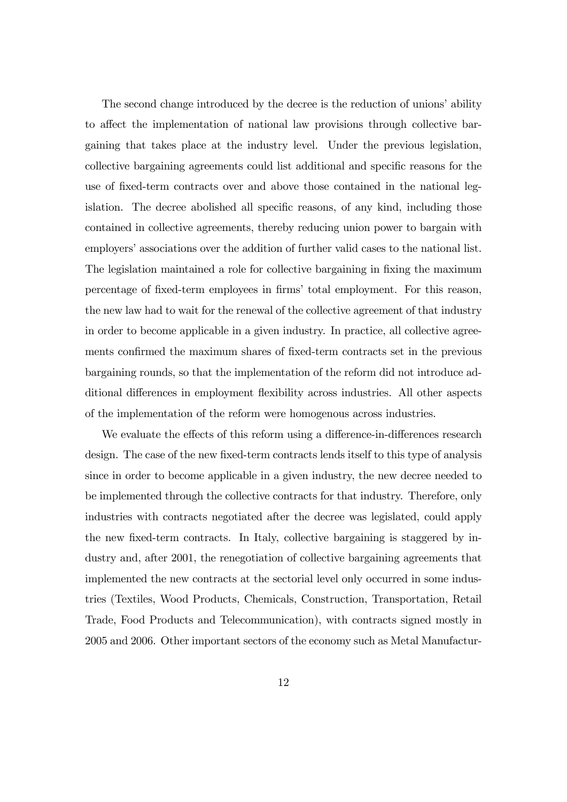The second change introduced by the decree is the reduction of unions' ability to affect the implementation of national law provisions through collective bargaining that takes place at the industry level. Under the previous legislation, collective bargaining agreements could list additional and specific reasons for the use of Öxed-term contracts over and above those contained in the national legislation. The decree abolished all specific reasons, of any kind, including those contained in collective agreements, thereby reducing union power to bargain with employers' associations over the addition of further valid cases to the national list. The legislation maintained a role for collective bargaining in fixing the maximum percentage of fixed-term employees in firms' total employment. For this reason, the new law had to wait for the renewal of the collective agreement of that industry in order to become applicable in a given industry. In practice, all collective agreements confirmed the maximum shares of fixed-term contracts set in the previous bargaining rounds, so that the implementation of the reform did not introduce additional differences in employment flexibility across industries. All other aspects of the implementation of the reform were homogenous across industries.

We evaluate the effects of this reform using a difference-in-differences research design. The case of the new fixed-term contracts lends itself to this type of analysis since in order to become applicable in a given industry, the new decree needed to be implemented through the collective contracts for that industry. Therefore, only industries with contracts negotiated after the decree was legislated, could apply the new fixed-term contracts. In Italy, collective bargaining is staggered by industry and, after 2001, the renegotiation of collective bargaining agreements that implemented the new contracts at the sectorial level only occurred in some industries (Textiles, Wood Products, Chemicals, Construction, Transportation, Retail Trade, Food Products and Telecommunication), with contracts signed mostly in 2005 and 2006. Other important sectors of the economy such as Metal Manufactur-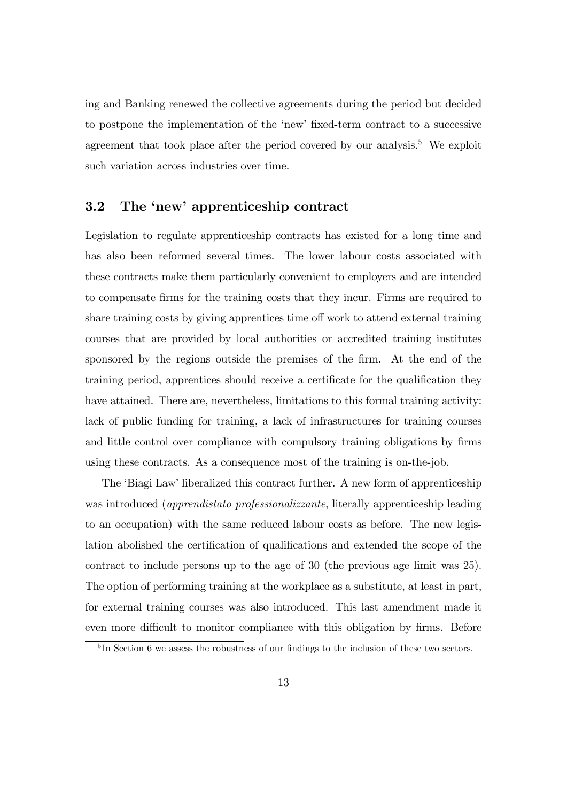ing and Banking renewed the collective agreements during the period but decided to postpone the implementation of the 'new' fixed-term contract to a successive agreement that took place after the period covered by our analysis.<sup>5</sup> We exploit such variation across industries over time.

#### 3.2 The 'new' apprenticeship contract

Legislation to regulate apprenticeship contracts has existed for a long time and has also been reformed several times. The lower labour costs associated with these contracts make them particularly convenient to employers and are intended to compensate Örms for the training costs that they incur. Firms are required to share training costs by giving apprentices time off work to attend external training courses that are provided by local authorities or accredited training institutes sponsored by the regions outside the premises of the firm. At the end of the training period, apprentices should receive a certificate for the qualification they have attained. There are, nevertheless, limitations to this formal training activity: lack of public funding for training, a lack of infrastructures for training courses and little control over compliance with compulsory training obligations by firms using these contracts. As a consequence most of the training is on-the-job.

The 'Biagi Law' liberalized this contract further. A new form of apprenticeship was introduced (*apprendistato professionalizzante*, literally apprenticeship leading to an occupation) with the same reduced labour costs as before. The new legislation abolished the certification of qualifications and extended the scope of the contract to include persons up to the age of 30 (the previous age limit was 25). The option of performing training at the workplace as a substitute, at least in part, for external training courses was also introduced. This last amendment made it even more difficult to monitor compliance with this obligation by firms. Before

 ${}^{5}$ In Section 6 we assess the robustness of our findings to the inclusion of these two sectors.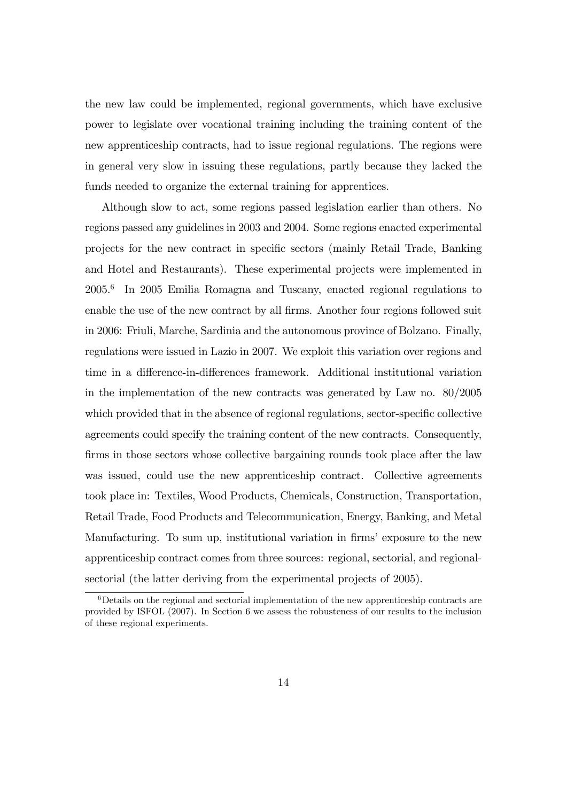the new law could be implemented, regional governments, which have exclusive power to legislate over vocational training including the training content of the new apprenticeship contracts, had to issue regional regulations. The regions were in general very slow in issuing these regulations, partly because they lacked the funds needed to organize the external training for apprentices.

Although slow to act, some regions passed legislation earlier than others. No regions passed any guidelines in 2003 and 2004. Some regions enacted experimental projects for the new contract in specific sectors (mainly Retail Trade, Banking and Hotel and Restaurants). These experimental projects were implemented in 2005.<sup>6</sup> In 2005 Emilia Romagna and Tuscany, enacted regional regulations to enable the use of the new contract by all firms. Another four regions followed suit in 2006: Friuli, Marche, Sardinia and the autonomous province of Bolzano. Finally, regulations were issued in Lazio in 2007. We exploit this variation over regions and time in a difference-in-differences framework. Additional institutional variation in the implementation of the new contracts was generated by Law no. 80/2005 which provided that in the absence of regional regulations, sector-specific collective agreements could specify the training content of the new contracts. Consequently, firms in those sectors whose collective bargaining rounds took place after the law was issued, could use the new apprenticeship contract. Collective agreements took place in: Textiles, Wood Products, Chemicals, Construction, Transportation, Retail Trade, Food Products and Telecommunication, Energy, Banking, and Metal Manufacturing. To sum up, institutional variation in firms' exposure to the new apprenticeship contract comes from three sources: regional, sectorial, and regionalsectorial (the latter deriving from the experimental projects of 2005).

 $6$  Details on the regional and sectorial implementation of the new apprenticeship contracts are provided by ISFOL (2007). In Section 6 we assess the robusteness of our results to the inclusion of these regional experiments.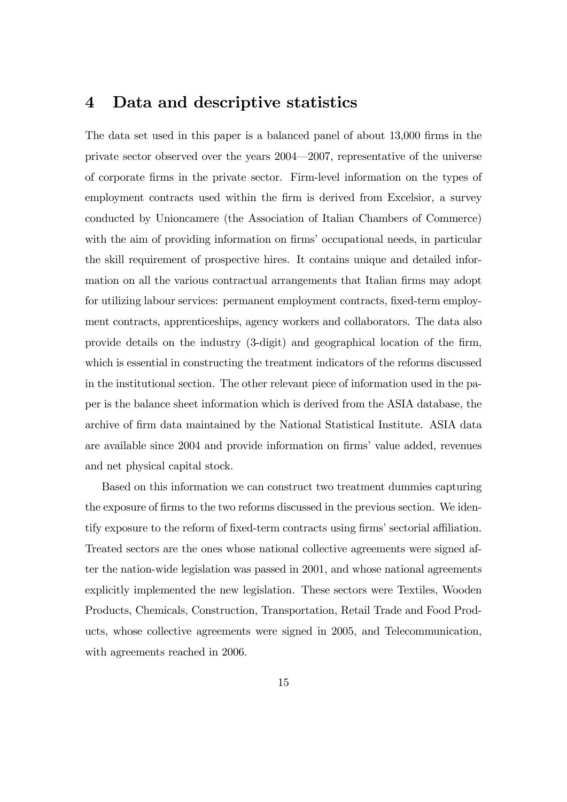### 4 Data and descriptive statistics

The data set used in this paper is a balanced panel of about 13,000 firms in the private sector observed over the years  $2004 - 2007$ , representative of the universe of corporate Örms in the private sector. Firm-level information on the types of employment contracts used within the firm is derived from Excelsior, a survey conducted by Unioncamere (the Association of Italian Chambers of Commerce) with the aim of providing information on firms' occupational needs, in particular the skill requirement of prospective hires. It contains unique and detailed information on all the various contractual arrangements that Italian firms may adopt for utilizing labour services: permanent employment contracts, fixed-term employment contracts, apprenticeships, agency workers and collaborators. The data also provide details on the industry (3-digit) and geographical location of the Örm, which is essential in constructing the treatment indicators of the reforms discussed in the institutional section. The other relevant piece of information used in the paper is the balance sheet information which is derived from the ASIA database, the archive of Örm data maintained by the National Statistical Institute. ASIA data are available since 2004 and provide information on firms' value added, revenues and net physical capital stock.

Based on this information we can construct two treatment dummies capturing the exposure of firms to the two reforms discussed in the previous section. We identify exposure to the reform of fixed-term contracts using firms' sectorial affiliation. Treated sectors are the ones whose national collective agreements were signed after the nation-wide legislation was passed in 2001, and whose national agreements explicitly implemented the new legislation. These sectors were Textiles, Wooden Products, Chemicals, Construction, Transportation, Retail Trade and Food Products, whose collective agreements were signed in 2005, and Telecommunication, with agreements reached in 2006.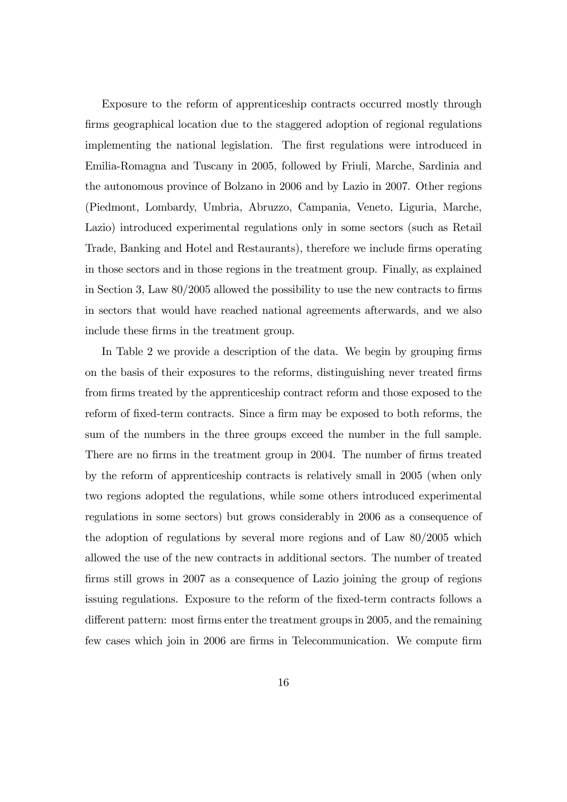Exposure to the reform of apprenticeship contracts occurred mostly through firms geographical location due to the staggered adoption of regional regulations implementing the national legislation. The first regulations were introduced in Emilia-Romagna and Tuscany in 2005, followed by Friuli, Marche, Sardinia and the autonomous province of Bolzano in 2006 and by Lazio in 2007. Other regions (Piedmont, Lombardy, Umbria, Abruzzo, Campania, Veneto, Liguria, Marche, Lazio) introduced experimental regulations only in some sectors (such as Retail Trade, Banking and Hotel and Restaurants), therefore we include firms operating in those sectors and in those regions in the treatment group. Finally, as explained in Section 3, Law  $80/2005$  allowed the possibility to use the new contracts to firms in sectors that would have reached national agreements afterwards, and we also include these firms in the treatment group.

In Table 2 we provide a description of the data. We begin by grouping firms on the basis of their exposures to the reforms, distinguishing never treated firms from firms treated by the apprenticeship contract reform and those exposed to the reform of fixed-term contracts. Since a firm may be exposed to both reforms, the sum of the numbers in the three groups exceed the number in the full sample. There are no firms in the treatment group in 2004. The number of firms treated by the reform of apprenticeship contracts is relatively small in 2005 (when only two regions adopted the regulations, while some others introduced experimental regulations in some sectors) but grows considerably in 2006 as a consequence of the adoption of regulations by several more regions and of Law 80/2005 which allowed the use of the new contracts in additional sectors. The number of treated firms still grows in 2007 as a consequence of Lazio joining the group of regions issuing regulations. Exposure to the reform of the fixed-term contracts follows a different pattern: most firms enter the treatment groups in 2005, and the remaining few cases which join in 2006 are firms in Telecommunication. We compute firm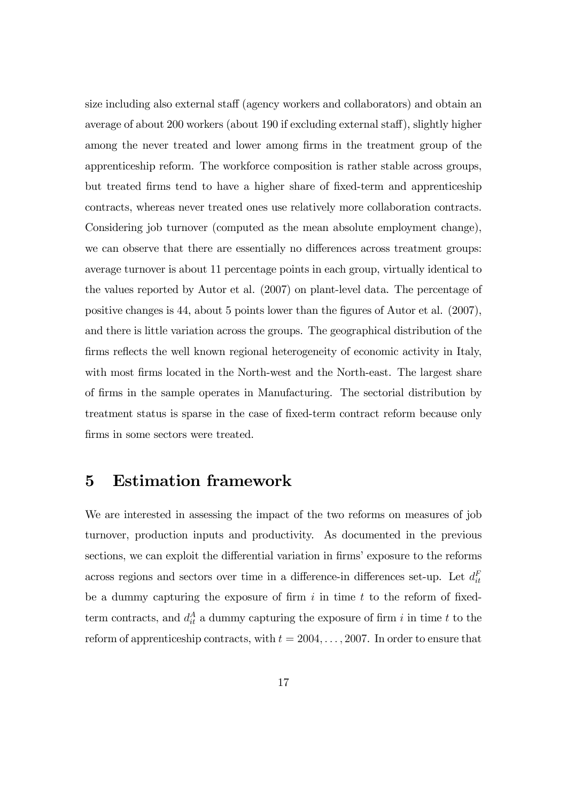size including also external staff (agency workers and collaborators) and obtain an average of about 200 workers (about 190 if excluding external staff), slightly higher among the never treated and lower among firms in the treatment group of the apprenticeship reform. The workforce composition is rather stable across groups, but treated Örms tend to have a higher share of Öxed-term and apprenticeship contracts, whereas never treated ones use relatively more collaboration contracts. Considering job turnover (computed as the mean absolute employment change), we can observe that there are essentially no differences across treatment groups: average turnover is about 11 percentage points in each group, virtually identical to the values reported by Autor et al. (2007) on plant-level data. The percentage of positive changes is 44, about 5 points lower than the figures of Autor et al. (2007), and there is little variation across the groups. The geographical distribution of the firms reflects the well known regional heterogeneity of economic activity in Italy, with most firms located in the North-west and the North-east. The largest share of Örms in the sample operates in Manufacturing. The sectorial distribution by treatment status is sparse in the case of fixed-term contract reform because only firms in some sectors were treated.

# 5 Estimation framework

We are interested in assessing the impact of the two reforms on measures of job turnover, production inputs and productivity. As documented in the previous sections, we can exploit the differential variation in firms' exposure to the reforms across regions and sectors over time in a difference-in differences set-up. Let  $d_{it}^F$ be a dummy capturing the exposure of firm  $i$  in time  $t$  to the reform of fixedterm contracts, and  $d_{it}^A$  a dummy capturing the exposure of firm i in time t to the reform of apprenticeship contracts, with  $t = 2004, \ldots, 2007$ . In order to ensure that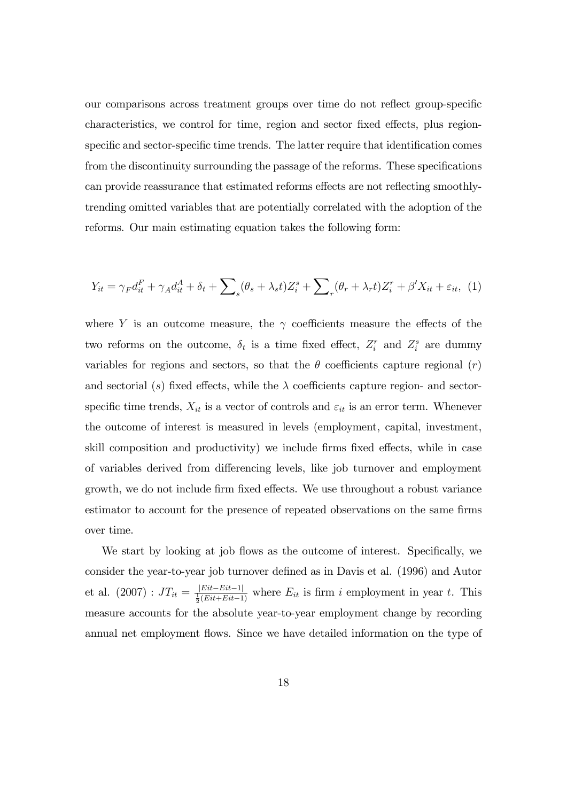our comparisons across treatment groups over time do not reflect group-specific characteristics, we control for time, region and sector fixed effects, plus regionspecific and sector-specific time trends. The latter require that identification comes from the discontinuity surrounding the passage of the reforms. These specifications can provide reassurance that estimated reforms effects are not reflecting smoothlytrending omitted variables that are potentially correlated with the adoption of the reforms. Our main estimating equation takes the following form:

$$
Y_{it} = \gamma_F d_{it}^F + \gamma_A d_{it}^A + \delta_t + \sum_s (\theta_s + \lambda_s t) Z_i^s + \sum_r (\theta_r + \lambda_r t) Z_i^r + \beta' X_{it} + \varepsilon_{it}, \tag{1}
$$

where Y is an outcome measure, the  $\gamma$  coefficients measure the effects of the two reforms on the outcome,  $\delta_t$  is a time fixed effect,  $Z_i^r$  and  $Z_i^s$  are dummy variables for regions and sectors, so that the  $\theta$  coefficients capture regional  $(r)$ and sectorial (s) fixed effects, while the  $\lambda$  coefficients capture region- and sectorspecific time trends,  $X_{it}$  is a vector of controls and  $\varepsilon_{it}$  is an error term. Whenever the outcome of interest is measured in levels (employment, capital, investment, skill composition and productivity) we include firms fixed effects, while in case of variables derived from differencing levels, like job turnover and employment growth, we do not include firm fixed effects. We use throughout a robust variance estimator to account for the presence of repeated observations on the same firms over time.

We start by looking at job flows as the outcome of interest. Specifically, we consider the year-to-year job turnover defined as in Davis et al. (1996) and Autor et al.  $(2007)$ :  $JT_{it} = \frac{|Eit - Eit - 1|}{\frac{1}{2}(Eit + Eit - 1)}$  where  $E_{it}$  is firm i employment in year t. This measure accounts for the absolute year-to-year employment change by recording annual net employment flows. Since we have detailed information on the type of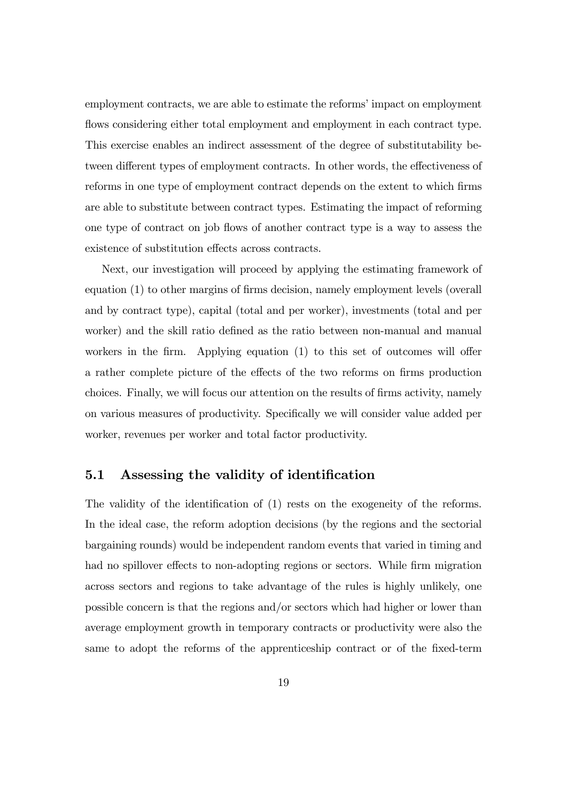employment contracts, we are able to estimate the reforms' impact on employment flows considering either total employment and employment in each contract type. This exercise enables an indirect assessment of the degree of substitutability between different types of employment contracts. In other words, the effectiveness of reforms in one type of employment contract depends on the extent to which firms are able to substitute between contract types. Estimating the impact of reforming one type of contract on job áows of another contract type is a way to assess the existence of substitution effects across contracts.

Next, our investigation will proceed by applying the estimating framework of equation (1) to other margins of firms decision, namely employment levels (overall and by contract type), capital (total and per worker), investments (total and per worker) and the skill ratio defined as the ratio between non-manual and manual workers in the firm. Applying equation  $(1)$  to this set of outcomes will offer a rather complete picture of the effects of the two reforms on firms production choices. Finally, we will focus our attention on the results of Örms activity, namely on various measures of productivity. Specifically we will consider value added per worker, revenues per worker and total factor productivity.

#### 5.1 Assessing the validity of identification

The validity of the identification of (1) rests on the exogeneity of the reforms. In the ideal case, the reform adoption decisions (by the regions and the sectorial bargaining rounds) would be independent random events that varied in timing and had no spillover effects to non-adopting regions or sectors. While firm migration across sectors and regions to take advantage of the rules is highly unlikely, one possible concern is that the regions and/or sectors which had higher or lower than average employment growth in temporary contracts or productivity were also the same to adopt the reforms of the apprenticeship contract or of the fixed-term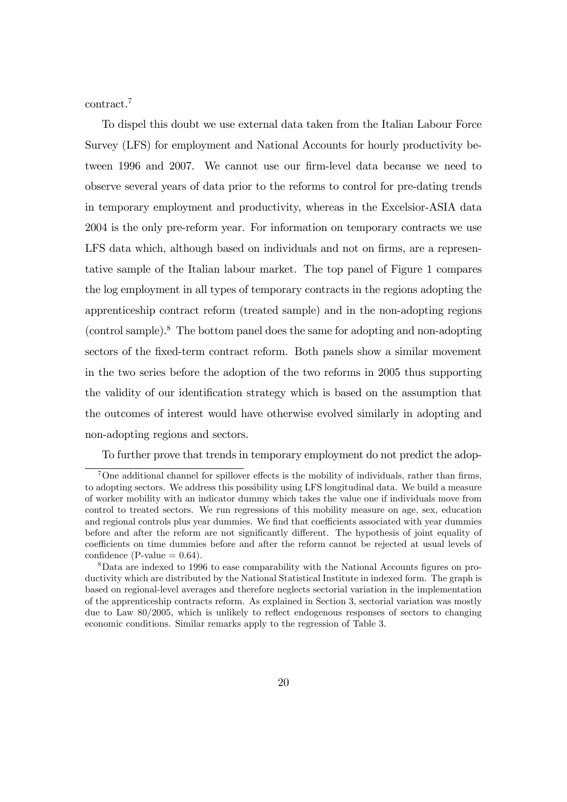contract.<sup>7</sup>

To dispel this doubt we use external data taken from the Italian Labour Force Survey (LFS) for employment and National Accounts for hourly productivity between 1996 and 2007. We cannot use our firm-level data because we need to observe several years of data prior to the reforms to control for pre-dating trends in temporary employment and productivity, whereas in the Excelsior-ASIA data 2004 is the only pre-reform year. For information on temporary contracts we use LFS data which, although based on individuals and not on firms, are a representative sample of the Italian labour market. The top panel of Figure 1 compares the log employment in all types of temporary contracts in the regions adopting the apprenticeship contract reform (treated sample) and in the non-adopting regions (control sample).<sup>8</sup> The bottom panel does the same for adopting and non-adopting sectors of the Öxed-term contract reform. Both panels show a similar movement in the two series before the adoption of the two reforms in 2005 thus supporting the validity of our identification strategy which is based on the assumption that the outcomes of interest would have otherwise evolved similarly in adopting and non-adopting regions and sectors.

To further prove that trends in temporary employment do not predict the adop-

 $7$ One additional channel for spillover effects is the mobility of individuals, rather than firms, to adopting sectors. We address this possibility using LFS longitudinal data. We build a measure of worker mobility with an indicator dummy which takes the value one if individuals move from control to treated sectors. We run regressions of this mobility measure on age, sex, education and regional controls plus year dummies. We find that coefficients associated with year dummies before and after the reform are not significantly different. The hypothesis of joint equality of coefficients on time dummies before and after the reform cannot be rejected at usual levels of confidence (P-value  $= 0.64$ ).

<sup>&</sup>lt;sup>8</sup>Data are indexed to 1996 to ease comparability with the National Accounts figures on productivity which are distributed by the National Statistical Institute in indexed form. The graph is based on regional-level averages and therefore neglects sectorial variation in the implementation of the apprenticeship contracts reform. As explained in Section 3, sectorial variation was mostly due to Law  $80/2005$ , which is unlikely to reflect endogenous responses of sectors to changing economic conditions. Similar remarks apply to the regression of Table 3.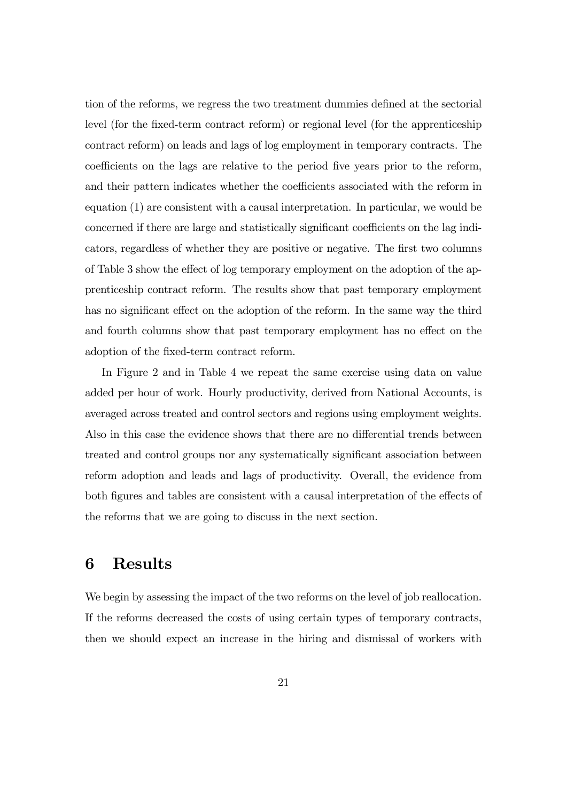tion of the reforms, we regress the two treatment dummies defined at the sectorial level (for the fixed-term contract reform) or regional level (for the apprenticeship contract reform) on leads and lags of log employment in temporary contracts. The coefficients on the lags are relative to the period five years prior to the reform, and their pattern indicates whether the coefficients associated with the reform in equation (1) are consistent with a causal interpretation. In particular, we would be concerned if there are large and statistically significant coefficients on the lag indicators, regardless of whether they are positive or negative. The Örst two columns of Table 3 show the effect of log temporary employment on the adoption of the apprenticeship contract reform. The results show that past temporary employment has no significant effect on the adoption of the reform. In the same way the third and fourth columns show that past temporary employment has no effect on the adoption of the fixed-term contract reform.

In Figure 2 and in Table 4 we repeat the same exercise using data on value added per hour of work. Hourly productivity, derived from National Accounts, is averaged across treated and control sectors and regions using employment weights. Also in this case the evidence shows that there are no differential trends between treated and control groups nor any systematically significant association between reform adoption and leads and lags of productivity. Overall, the evidence from both figures and tables are consistent with a causal interpretation of the effects of the reforms that we are going to discuss in the next section.

### 6 Results

We begin by assessing the impact of the two reforms on the level of job reallocation. If the reforms decreased the costs of using certain types of temporary contracts, then we should expect an increase in the hiring and dismissal of workers with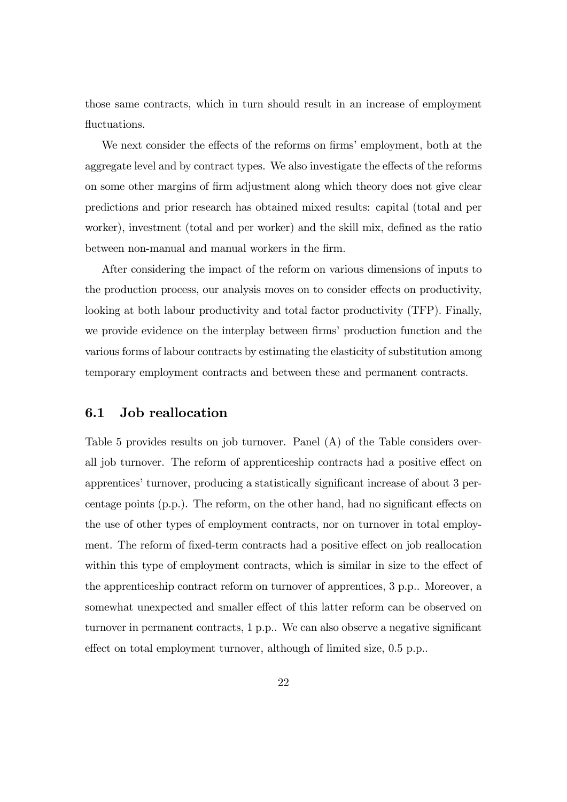those same contracts, which in turn should result in an increase of employment fluctuations.

We next consider the effects of the reforms on firms' employment, both at the aggregate level and by contract types. We also investigate the effects of the reforms on some other margins of Örm adjustment along which theory does not give clear predictions and prior research has obtained mixed results: capital (total and per worker), investment (total and per worker) and the skill mix, defined as the ratio between non-manual and manual workers in the firm.

After considering the impact of the reform on various dimensions of inputs to the production process, our analysis moves on to consider effects on productivity, looking at both labour productivity and total factor productivity (TFP). Finally, we provide evidence on the interplay between firms' production function and the various forms of labour contracts by estimating the elasticity of substitution among temporary employment contracts and between these and permanent contracts.

#### 6.1 Job reallocation

Table 5 provides results on job turnover. Panel (A) of the Table considers overall job turnover. The reform of apprenticeship contracts had a positive effect on apprentices' turnover, producing a statistically significant increase of about 3 percentage points  $(p.p.)$ . The reform, on the other hand, had no significant effects on the use of other types of employment contracts, nor on turnover in total employment. The reform of fixed-term contracts had a positive effect on job reallocation within this type of employment contracts, which is similar in size to the effect of the apprenticeship contract reform on turnover of apprentices, 3 p.p.. Moreover, a somewhat unexpected and smaller effect of this latter reform can be observed on turnover in permanent contracts,  $1$  p.p.. We can also observe a negative significant effect on total employment turnover, although of limited size,  $0.5$  p.p..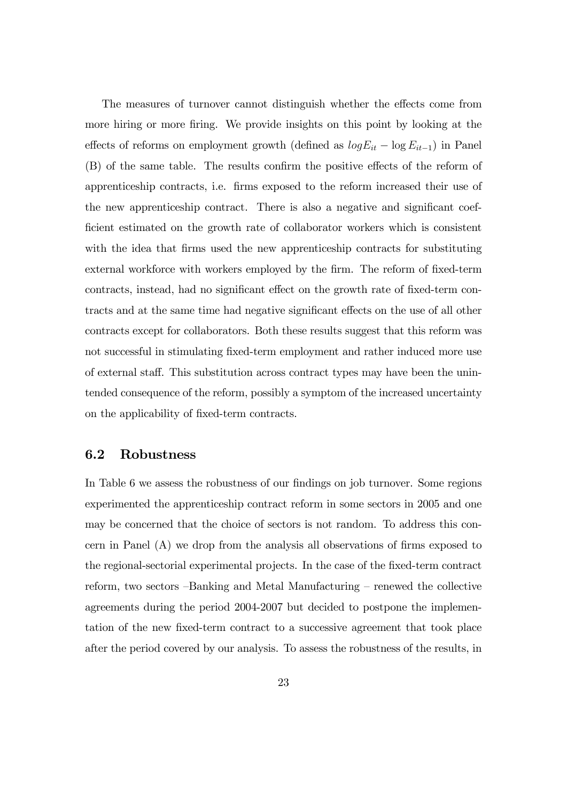The measures of turnover cannot distinguish whether the effects come from more hiring or more firing. We provide insights on this point by looking at the effects of reforms on employment growth (defined as  $log E_{it} - log E_{it-1}$ ) in Panel (B) of the same table. The results confirm the positive effects of the reform of apprenticeship contracts, i.e. Örms exposed to the reform increased their use of the new apprenticeship contract. There is also a negative and significant coef-Öcient estimated on the growth rate of collaborator workers which is consistent with the idea that firms used the new apprenticeship contracts for substituting external workforce with workers employed by the firm. The reform of fixed-term contracts, instead, had no significant effect on the growth rate of fixed-term contracts and at the same time had negative significant effects on the use of all other contracts except for collaborators. Both these results suggest that this reform was not successful in stimulating fixed-term employment and rather induced more use of external staff. This substitution across contract types may have been the unintended consequence of the reform, possibly a symptom of the increased uncertainty on the applicability of Öxed-term contracts.

#### 6.2 Robustness

In Table 6 we assess the robustness of our findings on job turnover. Some regions experimented the apprenticeship contract reform in some sectors in 2005 and one may be concerned that the choice of sectors is not random. To address this concern in Panel  $(A)$  we drop from the analysis all observations of firms exposed to the regional-sectorial experimental projects. In the case of the Öxed-term contract reform, two sectors -Banking and Metal Manufacturing - renewed the collective agreements during the period 2004-2007 but decided to postpone the implementation of the new Öxed-term contract to a successive agreement that took place after the period covered by our analysis. To assess the robustness of the results, in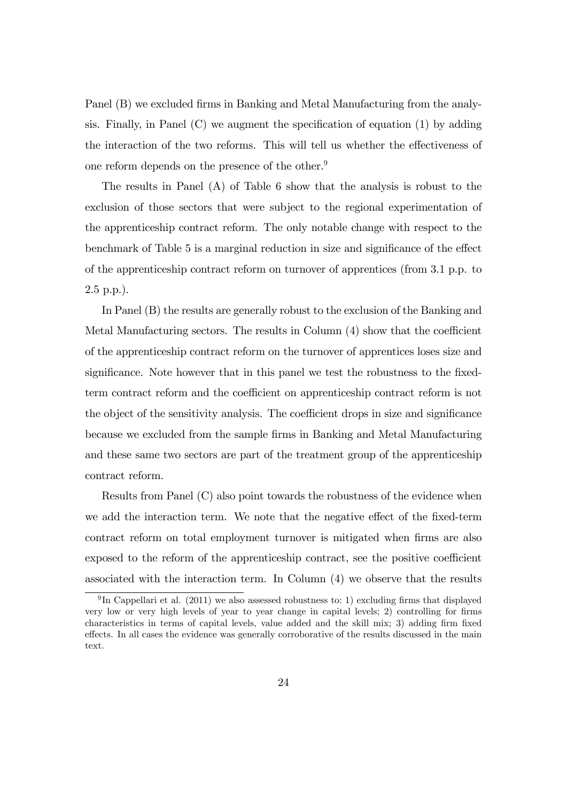Panel (B) we excluded firms in Banking and Metal Manufacturing from the analysis. Finally, in Panel  $(C)$  we augment the specification of equation (1) by adding the interaction of the two reforms. This will tell us whether the effectiveness of one reform depends on the presence of the other.<sup>9</sup>

The results in Panel  $(A)$  of Table 6 show that the analysis is robust to the exclusion of those sectors that were subject to the regional experimentation of the apprenticeship contract reform. The only notable change with respect to the benchmark of Table 5 is a marginal reduction in size and significance of the effect of the apprenticeship contract reform on turnover of apprentices (from 3.1 p.p. to 2.5 p.p.).

In Panel (B) the results are generally robust to the exclusion of the Banking and Metal Manufacturing sectors. The results in Column  $(4)$  show that the coefficient of the apprenticeship contract reform on the turnover of apprentices loses size and significance. Note however that in this panel we test the robustness to the fixedterm contract reform and the coefficient on apprenticeship contract reform is not the object of the sensitivity analysis. The coefficient drops in size and significance because we excluded from the sample Örms in Banking and Metal Manufacturing and these same two sectors are part of the treatment group of the apprenticeship contract reform.

Results from Panel (C) also point towards the robustness of the evidence when we add the interaction term. We note that the negative effect of the fixed-term contract reform on total employment turnover is mitigated when firms are also exposed to the reform of the apprenticeship contract, see the positive coefficient associated with the interaction term. In Column (4) we observe that the results

<sup>&</sup>lt;sup>9</sup>In Cappellari et al. (2011) we also assessed robustness to: 1) excluding firms that displayed very low or very high levels of year to year change in capital levels; 2) controlling for firms characteristics in terms of capital levels, value added and the skill mix; 3) adding firm fixed effects. In all cases the evidence was generally corroborative of the results discussed in the main text.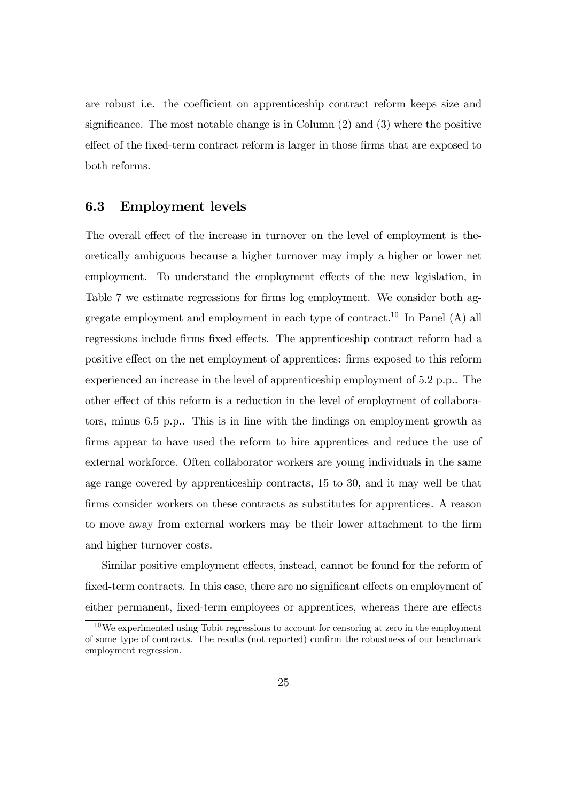are robust i.e. the coefficient on apprenticeship contract reform keeps size and significance. The most notable change is in Column  $(2)$  and  $(3)$  where the positive effect of the fixed-term contract reform is larger in those firms that are exposed to both reforms.

#### 6.3 Employment levels

The overall effect of the increase in turnover on the level of employment is theoretically ambiguous because a higher turnover may imply a higher or lower net employment. To understand the employment effects of the new legislation, in Table 7 we estimate regressions for firms log employment. We consider both aggregate employment and employment in each type of contract.<sup>10</sup> In Panel  $(A)$  all regressions include firms fixed effects. The apprenticeship contract reform had a positive effect on the net employment of apprentices: firms exposed to this reform experienced an increase in the level of apprenticeship employment of 5.2 p.p.. The other effect of this reform is a reduction in the level of employment of collaborators, minus 6.5 p.p.. This is in line with the findings on employment growth as firms appear to have used the reform to hire apprentices and reduce the use of external workforce. Often collaborator workers are young individuals in the same age range covered by apprenticeship contracts, 15 to 30, and it may well be that firms consider workers on these contracts as substitutes for apprentices. A reason to move away from external workers may be their lower attachment to the firm and higher turnover costs.

Similar positive employment effects, instead, cannot be found for the reform of fixed-term contracts. In this case, there are no significant effects on employment of either permanent, fixed-term employees or apprentices, whereas there are effects

<sup>10</sup>We experimented using Tobit regressions to account for censoring at zero in the employment of some type of contracts. The results (not reported) confirm the robustness of our benchmark employment regression.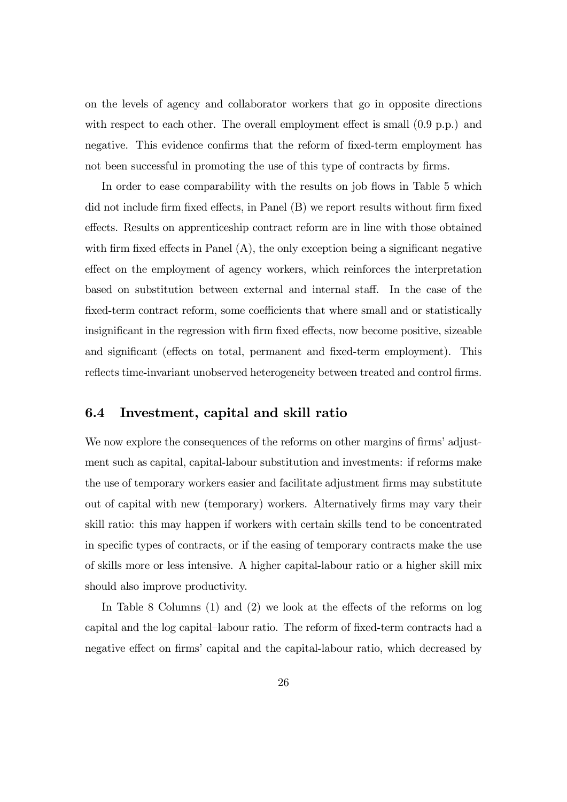on the levels of agency and collaborator workers that go in opposite directions with respect to each other. The overall employment effect is small  $(0.9 \text{ p.p.})$  and negative. This evidence confirms that the reform of fixed-term employment has not been successful in promoting the use of this type of contracts by firms.

In order to ease comparability with the results on job flows in Table 5 which did not include firm fixed effects, in Panel  $(B)$  we report results without firm fixed effects. Results on apprenticeship contract reform are in line with those obtained with firm fixed effects in Panel  $(A)$ , the only exception being a significant negative effect on the employment of agency workers, which reinforces the interpretation based on substitution between external and internal staff. In the case of the fixed-term contract reform, some coefficients that where small and or statistically insignificant in the regression with firm fixed effects, now become positive, sizeable and significant (effects on total, permanent and fixed-term employment). This reflects time-invariant unobserved heterogeneity between treated and control firms.

#### 6.4 Investment, capital and skill ratio

We now explore the consequences of the reforms on other margins of firms' adjustment such as capital, capital-labour substitution and investments: if reforms make the use of temporary workers easier and facilitate adjustment firms may substitute out of capital with new (temporary) workers. Alternatively firms may vary their skill ratio: this may happen if workers with certain skills tend to be concentrated in specific types of contracts, or if the easing of temporary contracts make the use of skills more or less intensive. A higher capital-labour ratio or a higher skill mix should also improve productivity.

In Table 8 Columns  $(1)$  and  $(2)$  we look at the effects of the reforms on log capital and the log capital–labour ratio. The reform of fixed-term contracts had a negative effect on firms' capital and the capital-labour ratio, which decreased by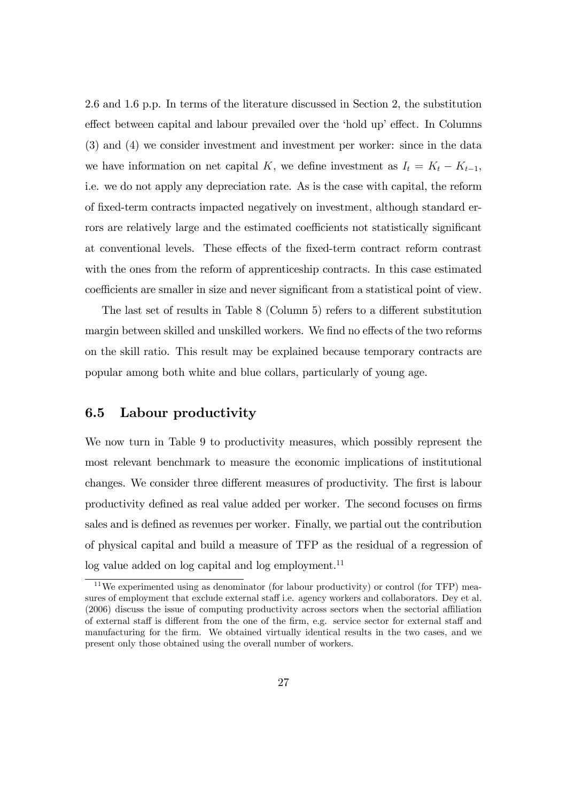2.6 and 1.6 p.p. In terms of the literature discussed in Section 2, the substitution effect between capital and labour prevailed over the 'hold up' effect. In Columns (3) and (4) we consider investment and investment per worker: since in the data we have information on net capital K, we define investment as  $I_t = K_t - K_{t-1}$ , i.e. we do not apply any depreciation rate. As is the case with capital, the reform of Öxed-term contracts impacted negatively on investment, although standard errors are relatively large and the estimated coefficients not statistically significant at conventional levels. These effects of the fixed-term contract reform contrast with the ones from the reform of apprenticeship contracts. In this case estimated coefficients are smaller in size and never significant from a statistical point of view.

The last set of results in Table  $8$  (Column 5) refers to a different substitution margin between skilled and unskilled workers. We find no effects of the two reforms on the skill ratio. This result may be explained because temporary contracts are popular among both white and blue collars, particularly of young age.

#### 6.5 Labour productivity

We now turn in Table 9 to productivity measures, which possibly represent the most relevant benchmark to measure the economic implications of institutional changes. We consider three different measures of productivity. The first is labour productivity defined as real value added per worker. The second focuses on firms sales and is defined as revenues per worker. Finally, we partial out the contribution of physical capital and build a measure of TFP as the residual of a regression of  $\log$  value added on  $\log$  capital and  $\log$  employment.<sup>11</sup>

<sup>&</sup>lt;sup>11</sup>We experimented using as denominator (for labour productivity) or control (for TFP) measures of employment that exclude external staff i.e. agency workers and collaborators. Dey et al.  $(2006)$  discuss the issue of computing productivity across sectors when the sectorial affiliation of external staff is different from the one of the firm, e.g. service sector for external staff and manufacturing for the Örm. We obtained virtually identical results in the two cases, and we present only those obtained using the overall number of workers.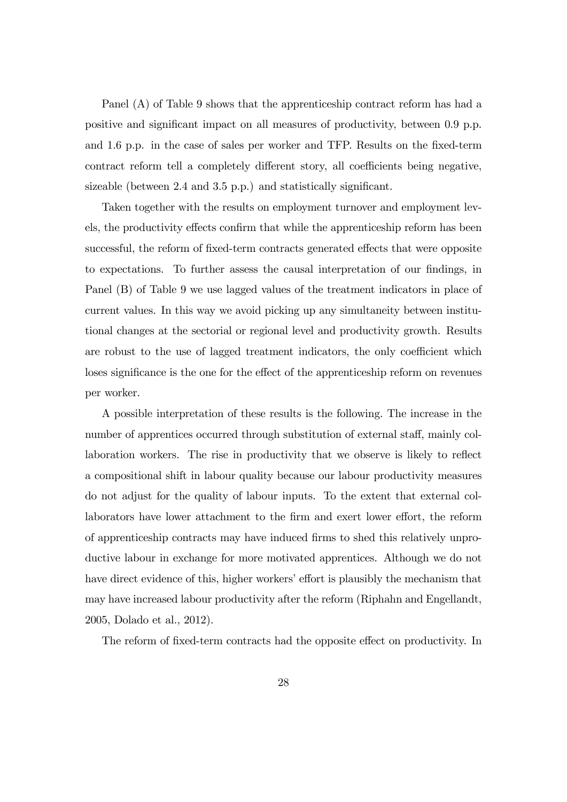Panel (A) of Table 9 shows that the apprenticeship contract reform has had a positive and significant impact on all measures of productivity, between 0.9 p.p. and 1.6 p.p. in the case of sales per worker and TFP. Results on the fixed-term contract reform tell a completely different story, all coefficients being negative, sizeable (between  $2.4$  and  $3.5$  p.p.) and statistically significant.

Taken together with the results on employment turnover and employment levels, the productivity effects confirm that while the apprenticeship reform has been successful, the reform of fixed-term contracts generated effects that were opposite to expectations. To further assess the causal interpretation of our findings, in Panel (B) of Table 9 we use lagged values of the treatment indicators in place of current values. In this way we avoid picking up any simultaneity between institutional changes at the sectorial or regional level and productivity growth. Results are robust to the use of lagged treatment indicators, the only coefficient which loses significance is the one for the effect of the apprenticeship reform on revenues per worker.

A possible interpretation of these results is the following. The increase in the number of apprentices occurred through substitution of external staff, mainly collaboration workers. The rise in productivity that we observe is likely to reflect a compositional shift in labour quality because our labour productivity measures do not adjust for the quality of labour inputs. To the extent that external collaborators have lower attachment to the firm and exert lower effort, the reform of apprenticeship contracts may have induced Örms to shed this relatively unproductive labour in exchange for more motivated apprentices. Although we do not have direct evidence of this, higher workers' effort is plausibly the mechanism that may have increased labour productivity after the reform (Riphahn and Engellandt, 2005, Dolado et al., 2012).

The reform of fixed-term contracts had the opposite effect on productivity. In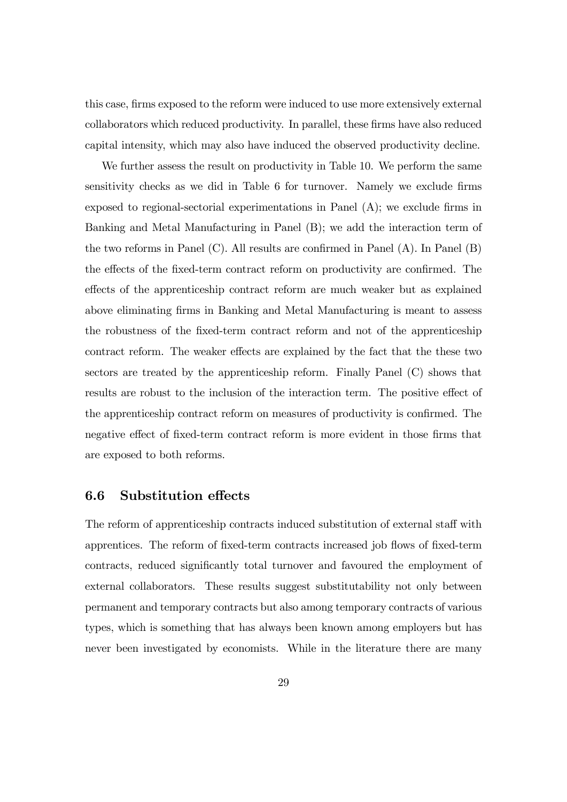this case, firms exposed to the reform were induced to use more extensively external collaborators which reduced productivity. In parallel, these Örms have also reduced capital intensity, which may also have induced the observed productivity decline.

We further assess the result on productivity in Table 10. We perform the same sensitivity checks as we did in Table 6 for turnover. Namely we exclude firms exposed to regional-sectorial experimentations in Panel  $(A)$ ; we exclude firms in Banking and Metal Manufacturing in Panel (B); we add the interaction term of the two reforms in Panel  $(C)$ . All results are confirmed in Panel  $(A)$ . In Panel  $(B)$ the effects of the fixed-term contract reform on productivity are confirmed. The effects of the apprenticeship contract reform are much weaker but as explained above eliminating firms in Banking and Metal Manufacturing is meant to assess the robustness of the Öxed-term contract reform and not of the apprenticeship contract reform. The weaker effects are explained by the fact that the these two sectors are treated by the apprenticeship reform. Finally Panel (C) shows that results are robust to the inclusion of the interaction term. The positive effect of the apprenticeship contract reform on measures of productivity is confirmed. The negative effect of fixed-term contract reform is more evident in those firms that are exposed to both reforms.

#### 6.6 Substitution effects

The reform of apprenticeship contracts induced substitution of external staff with apprentices. The reform of fixed-term contracts increased job flows of fixed-term contracts, reduced significantly total turnover and favoured the employment of external collaborators. These results suggest substitutability not only between permanent and temporary contracts but also among temporary contracts of various types, which is something that has always been known among employers but has never been investigated by economists. While in the literature there are many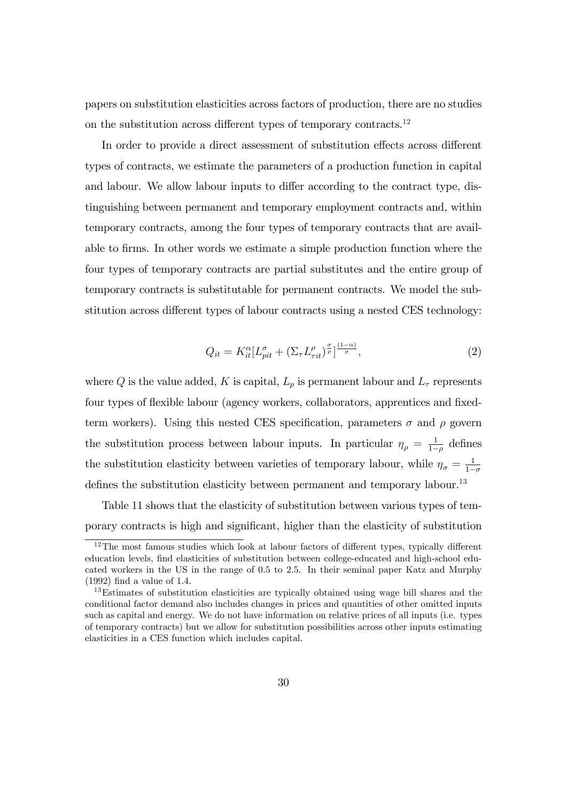papers on substitution elasticities across factors of production, there are no studies on the substitution across different types of temporary contracts.<sup>12</sup>

In order to provide a direct assessment of substitution effects across different types of contracts, we estimate the parameters of a production function in capital and labour. We allow labour inputs to differ according to the contract type, distinguishing between permanent and temporary employment contracts and, within temporary contracts, among the four types of temporary contracts that are available to Örms. In other words we estimate a simple production function where the four types of temporary contracts are partial substitutes and the entire group of temporary contracts is substitutable for permanent contracts. We model the substitution across different types of labour contracts using a nested CES technology:

$$
Q_{it} = K_{it}^{\alpha} [L_{pit}^{\sigma} + (\Sigma_{\tau} L_{rit}^{\rho})_{\rho}^{\frac{\sigma}{\sigma}}]^{\frac{(1-\alpha)}{\sigma}}, \qquad (2)
$$

where Q is the value added, K is capital,  $L_p$  is permanent labour and  $L_\tau$  represents four types of flexible labour (agency workers, collaborators, apprentices and fixedterm workers). Using this nested CES specification, parameters  $\sigma$  and  $\rho$  govern the substitution process between labour inputs. In particular  $\eta_{\rho} = \frac{1}{1-\rho}$  $\frac{1}{1-\rho}$  defines the substitution elasticity between varieties of temporary labour, while  $\eta_{\sigma} = \frac{1}{1-\sigma^2}$  $1-\sigma$ defines the substitution elasticity between permanent and temporary labour.<sup>13</sup>

Table 11 shows that the elasticity of substitution between various types of temporary contracts is high and significant, higher than the elasticity of substitution

 $12$ The most famous studies which look at labour factors of different types, typically different education levels, Önd elasticities of substitution between college-educated and high-school educated workers in the US in the range of 0.5 to 2.5. In their seminal paper Katz and Murphy  $(1992)$  find a value of 1.4.

<sup>&</sup>lt;sup>13</sup>Estimates of substitution elasticities are typically obtained using wage bill shares and the conditional factor demand also includes changes in prices and quantities of other omitted inputs such as capital and energy. We do not have information on relative prices of all inputs (i.e. types of temporary contracts) but we allow for substitution possibilities across other inputs estimating elasticities in a CES function which includes capital.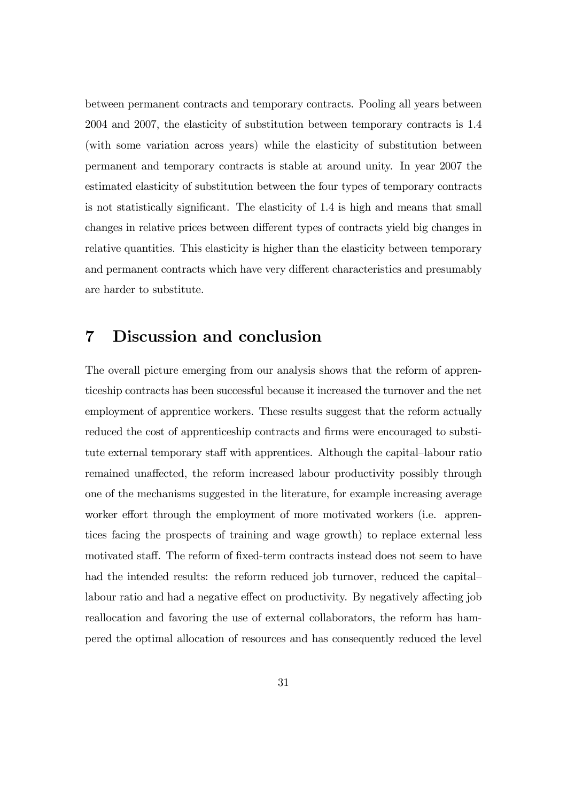between permanent contracts and temporary contracts. Pooling all years between 2004 and 2007, the elasticity of substitution between temporary contracts is 1.4 (with some variation across years) while the elasticity of substitution between permanent and temporary contracts is stable at around unity. In year 2007 the estimated elasticity of substitution between the four types of temporary contracts is not statistically significant. The elasticity of 1.4 is high and means that small changes in relative prices between different types of contracts yield big changes in relative quantities. This elasticity is higher than the elasticity between temporary and permanent contracts which have very different characteristics and presumably are harder to substitute.

# 7 Discussion and conclusion

The overall picture emerging from our analysis shows that the reform of apprenticeship contracts has been successful because it increased the turnover and the net employment of apprentice workers. These results suggest that the reform actually reduced the cost of apprenticeship contracts and firms were encouraged to substitute external temporary staff with apprentices. Although the capital–labour ratio remained unaffected, the reform increased labour productivity possibly through one of the mechanisms suggested in the literature, for example increasing average worker effort through the employment of more motivated workers (i.e. apprentices facing the prospects of training and wage growth) to replace external less motivated staff. The reform of fixed-term contracts instead does not seem to have had the intended results: the reform reduced job turnover, reduced the capital labour ratio and had a negative effect on productivity. By negatively affecting job reallocation and favoring the use of external collaborators, the reform has hampered the optimal allocation of resources and has consequently reduced the level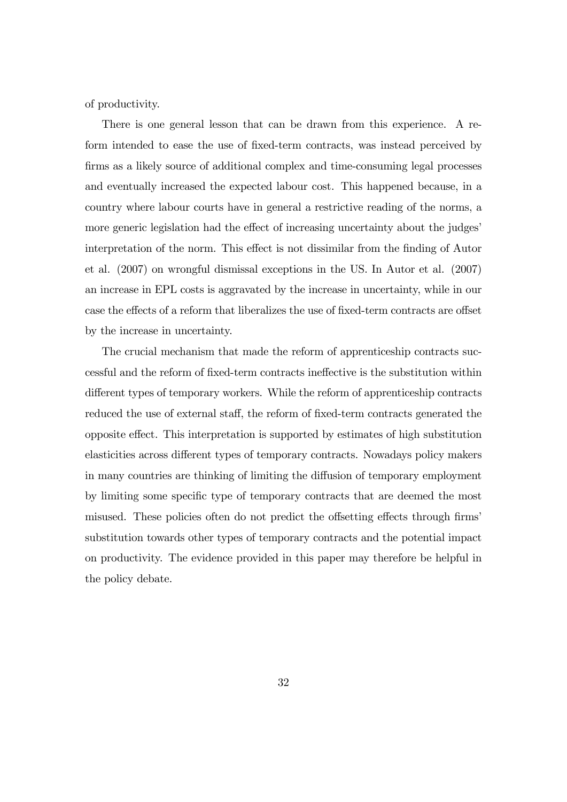of productivity.

There is one general lesson that can be drawn from this experience. A reform intended to ease the use of fixed-term contracts, was instead perceived by firms as a likely source of additional complex and time-consuming legal processes and eventually increased the expected labour cost. This happened because, in a country where labour courts have in general a restrictive reading of the norms, a more generic legislation had the effect of increasing uncertainty about the judges' interpretation of the norm. This effect is not dissimilar from the finding of Autor et al. (2007) on wrongful dismissal exceptions in the US. In Autor et al. (2007) an increase in EPL costs is aggravated by the increase in uncertainty, while in our case the effects of a reform that liberalizes the use of fixed-term contracts are offset by the increase in uncertainty.

The crucial mechanism that made the reform of apprenticeship contracts successful and the reform of fixed-term contracts ineffective is the substitution within different types of temporary workers. While the reform of apprenticeship contracts reduced the use of external staff, the reform of fixed-term contracts generated the opposite effect. This interpretation is supported by estimates of high substitution elasticities across different types of temporary contracts. Nowadays policy makers in many countries are thinking of limiting the diffusion of temporary employment by limiting some specific type of temporary contracts that are deemed the most misused. These policies often do not predict the offsetting effects through firms' substitution towards other types of temporary contracts and the potential impact on productivity. The evidence provided in this paper may therefore be helpful in the policy debate.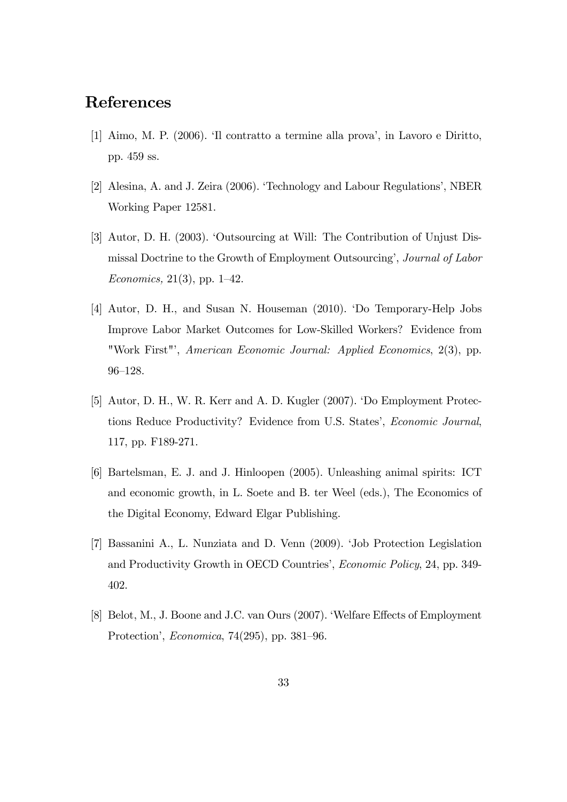## References

- [1] Aimo, M. P. (2006). Il contratto a termine alla prova', in Lavoro e Diritto, pp. 459 ss.
- [2] Alesina, A. and J. Zeira (2006). ëTechnology and Labour Regulationsí, NBER Working Paper 12581.
- [3] Autor, D. H. (2003). ëOutsourcing at Will: The Contribution of Unjust Dismissal Doctrine to the Growth of Employment Outsourcing', *Journal of Labor* Economics, 21(3), pp. 1–42.
- [4] Autor, D. H., and Susan N. Houseman (2010). ëDo Temporary-Help Jobs Improve Labor Market Outcomes for Low-Skilled Workers? Evidence from "Work First"', American Economic Journal: Applied Economics, 2(3), pp. 96-128.
- [5] Autor, D. H., W. R. Kerr and A. D. Kugler (2007). 'Do Employment Protections Reduce Productivity? Evidence from U.S. States', Economic Journal, 117, pp. F189-271.
- [6] Bartelsman, E. J. and J. Hinloopen (2005). Unleashing animal spirits: ICT and economic growth, in L. Soete and B. ter Weel (eds.), The Economics of the Digital Economy, Edward Elgar Publishing.
- [7] Bassanini A., L. Nunziata and D. Venn (2009). ëJob Protection Legislation and Productivity Growth in OECD Countries', *Economic Policy*, 24, pp. 349-402.
- [8] Belot, M., J. Boone and J.C. van Ours (2007). Welfare Effects of Employment Protection', *Economica*,  $74(295)$ , pp.  $381-96$ .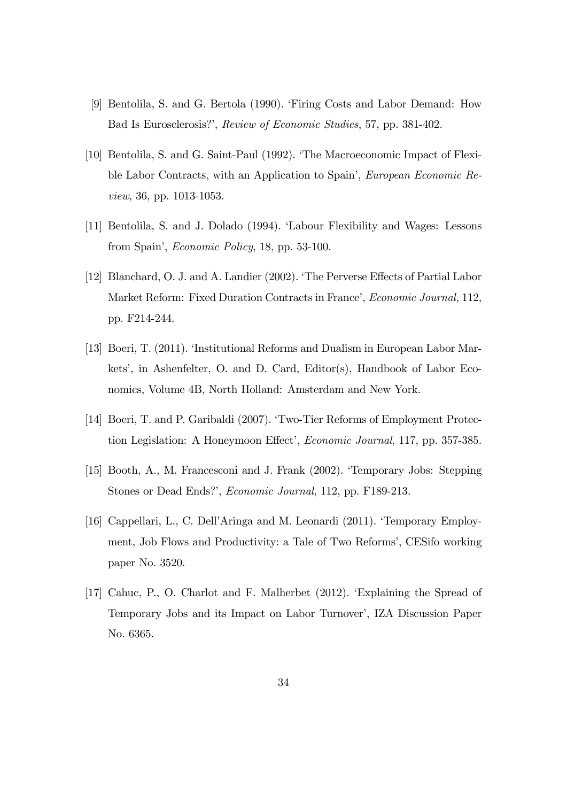- [9] Bentolila, S. and G. Bertola (1990). ëFiring Costs and Labor Demand: How Bad Is Eurosclerosis?', Review of Economic Studies, 57, pp. 381-402.
- [10] Bentolila, S. and G. Saint-Paul (1992). ëThe Macroeconomic Impact of Flexible Labor Contracts, with an Application to Spain', *European Economic Re*view, 36, pp. 1013-1053.
- [11] Bentolila, S. and J. Dolado (1994). ëLabour Flexibility and Wages: Lessons from Spain', *Economic Policy*, 18, pp. 53-100.
- [12] Blanchard, O. J. and A. Landier (2002). The Perverse Effects of Partial Labor Market Reform: Fixed Duration Contracts in France', Economic Journal, 112, pp. F214-244.
- [13] Boeri, T. (2011). 'Institutional Reforms and Dualism in European Labor Markets', in Ashenfelter, O. and D. Card, Editor(s), Handbook of Labor Economics, Volume 4B, North Holland: Amsterdam and New York.
- [14] Boeri, T. and P. Garibaldi (2007). 'Two-Tier Reforms of Employment Protection Legislation: A Honeymoon Effect', *Economic Journal*, 117, pp. 357-385.
- [15] Booth, A., M. Francesconi and J. Frank (2002). Temporary Jobs: Stepping Stones or Dead Ends?', *Economic Journal*, 112, pp. F189-213.
- [16] Cappellari, L., C. DellíAringa and M. Leonardi (2011). ëTemporary Employment, Job Flows and Productivity: a Tale of Two Reforms', CESifo working paper No. 3520.
- [17] Cahuc, P., O. Charlot and F. Malherbet (2012). ëExplaining the Spread of Temporary Jobs and its Impact on Labor Turnover', IZA Discussion Paper No. 6365.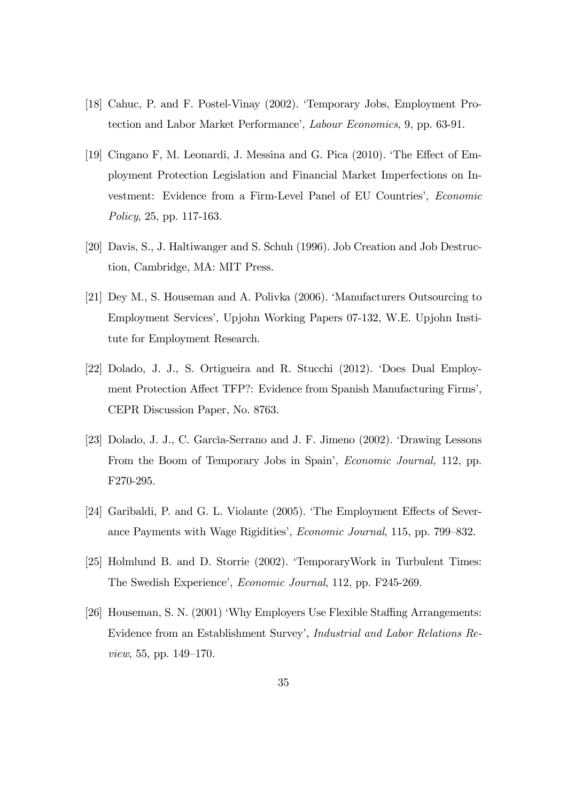- [18] Cahuc, P. and F. Postel-Vinay (2002). ëTemporary Jobs, Employment Protection and Labor Market Performance', *Labour Economics*, 9, pp. 63-91.
- [19] Cingano F, M. Leonardi, J. Messina and G. Pica  $(2010)$ . The Effect of Employment Protection Legislation and Financial Market Imperfections on Investment: Evidence from a Firm-Level Panel of EU Countries', Economic Policy, 25, pp. 117-163.
- [20] Davis, S., J. Haltiwanger and S. Schuh (1996). Job Creation and Job Destruction, Cambridge, MA: MIT Press.
- [21] Dey M., S. Houseman and A. Polivka (2006). 'Manufacturers Outsourcing to Employment Servicesí, Upjohn Working Papers 07-132, W.E. Upjohn Institute for Employment Research.
- [22] Dolado, J. J., S. Ortigueira and R. Stucchi (2012). ëDoes Dual Employment Protection Affect TFP?: Evidence from Spanish Manufacturing Firms', CEPR Discussion Paper, No. 8763.
- [23] Dolado, J. J., C. Garcia-Serrano and J. F. Jimeno (2002). 'Drawing Lessons From the Boom of Temporary Jobs in Spain', *Economic Journal*, 112, pp. F270-295.
- [24] Garibaldi, P. and G. L. Violante  $(2005)$ . The Employment Effects of Severance Payments with Wage Rigidities', *Economic Journal*, 115, pp. 799–832.
- [25] Holmlund B. and D. Storrie (2002). TemporaryWork in Turbulent Times: The Swedish Experience', Economic Journal, 112, pp. F245-269.
- [26] Houseman, S. N. (2001) 'Why Employers Use Flexible Staffing Arrangements: Evidence from an Establishment Survey', *Industrial and Labor Relations Re*view, 55, pp.  $149-170$ .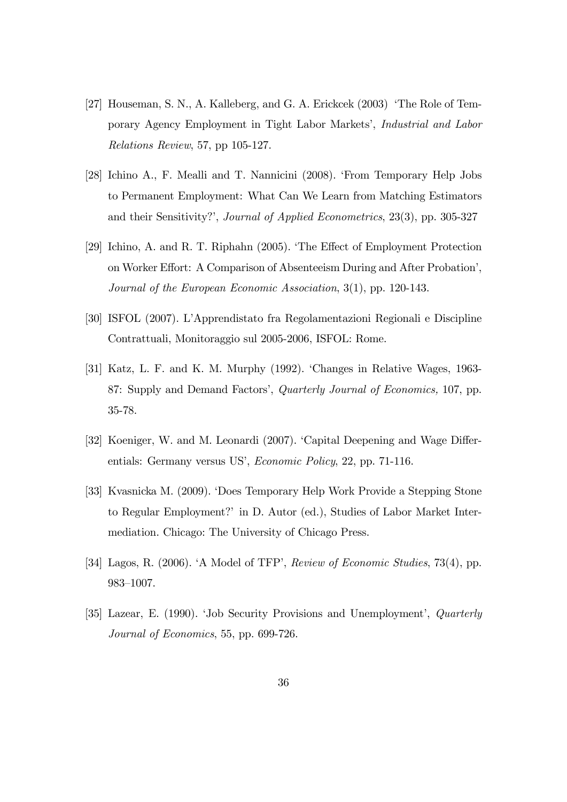- [27] Houseman, S. N., A. Kalleberg, and G. A. Erickcek (2003) 'The Role of Temporary Agency Employment in Tight Labor Marketsí, Industrial and Labor Relations Review, 57, pp 105-127.
- [28] Ichino A., F. Mealli and T. Nannicini (2008). ëFrom Temporary Help Jobs to Permanent Employment: What Can We Learn from Matching Estimators and their Sensitivity?', Journal of Applied Econometrics, 23(3), pp. 305-327
- [29] Ichino, A. and R. T. Riphahn (2005). The Effect of Employment Protection on Worker Effort: A Comparison of Absenteeism During and After Probation', Journal of the European Economic Association, 3(1), pp. 120-143.
- [30] ISFOL (2007). LíApprendistato fra Regolamentazioni Regionali e Discipline Contrattuali, Monitoraggio sul 2005-2006, ISFOL: Rome.
- [31] Katz, L. F. and K. M. Murphy (1992). 'Changes in Relative Wages, 1963-87: Supply and Demand Factors', *Quarterly Journal of Economics*, 107, pp. 35-78.
- [32] Koeniger, W. and M. Leonardi (2007). 'Capital Deepening and Wage Differentials: Germany versus US', *Economic Policy*, 22, pp. 71-116.
- [33] Kvasnicka M. (2009). ëDoes Temporary Help Work Provide a Stepping Stone to Regular Employment?í in D. Autor (ed.), Studies of Labor Market Intermediation. Chicago: The University of Chicago Press.
- [34] Lagos, R. (2006). A Model of TFP', Review of Economic Studies, 73(4), pp. 983-1007.
- [35] Lazear, E. (1990). 'Job Security Provisions and Unemployment', *Quarterly* Journal of Economics, 55, pp. 699-726.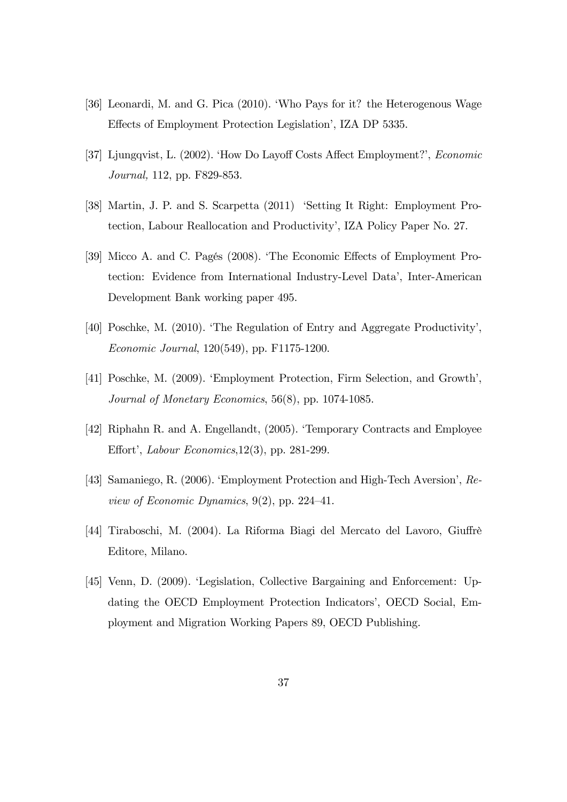- [36] Leonardi, M. and G. Pica (2010). ëWho Pays for it? the Heterogenous Wage Effects of Employment Protection Legislation<sup>'</sup>, IZA DP 5335.
- [37] Ljungqvist, L. (2002). 'How Do Layoff Costs Affect Employment?', Economic Journal, 112, pp. F829-853.
- [38] Martin, J. P. and S. Scarpetta (2011) 'Setting It Right: Employment Protection, Labour Reallocation and Productivityí, IZA Policy Paper No. 27.
- [39] Micco A. and C. Pagés (2008). 'The Economic Effects of Employment Protection: Evidence from International Industry-Level Dataí, Inter-American Development Bank working paper 495.
- [40] Poschke, M. (2010). ëThe Regulation of Entry and Aggregate Productivityí, Economic Journal, 120(549), pp. F1175-1200.
- [41] Poschke, M. (2009). Employment Protection, Firm Selection, and Growth', Journal of Monetary Economics, 56(8), pp. 1074-1085.
- [42] Riphahn R. and A. Engellandt, (2005). ëTemporary Contracts and Employee Effort', Labour Economics,  $12(3)$ , pp. 281-299.
- [43] Samaniego, R. (2006). Employment Protection and High-Tech Aversion', Review of Economic Dynamics,  $9(2)$ , pp. 224–41.
- [44] Tiraboschi, M. (2004). La Riforma Biagi del Mercato del Lavoro, Giuffrè Editore, Milano.
- [45] Venn, D. (2009). ëLegislation, Collective Bargaining and Enforcement: Updating the OECD Employment Protection Indicators', OECD Social, Employment and Migration Working Papers 89, OECD Publishing.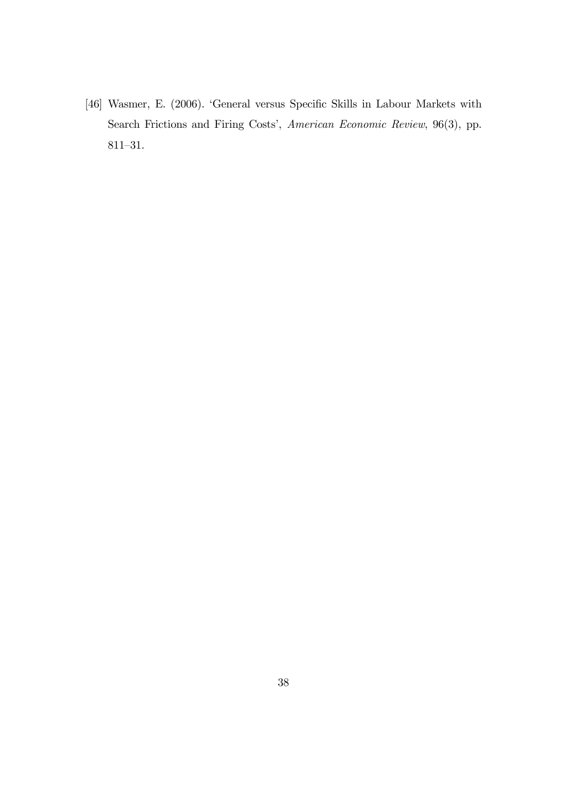[46] Wasmer, E. (2006). 'General versus Specific Skills in Labour Markets with Search Frictions and Firing Costs', American Economic Review, 96(3), pp.  $811 - 31.$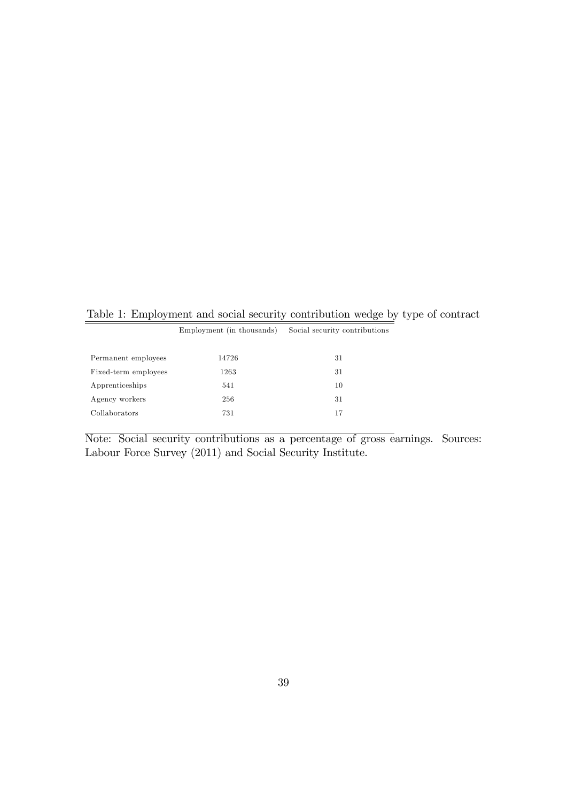Table 1: Employment and social security contribution wedge by type of contract

|                      | Employment (in thousands) | Social security contributions |
|----------------------|---------------------------|-------------------------------|
| Permanent employees  | 14726                     | 31                            |
| Fixed-term employees | 1263                      | 31                            |
| Apprenticeships      | 541                       | 10                            |
| Agency workers       | 256                       | 31                            |
| Collaborators        | 731                       | 17                            |
|                      |                           |                               |

Note: Social security contributions as a percentage of gross earnings. Sources: Labour Force Survey (2011) and Social Security Institute.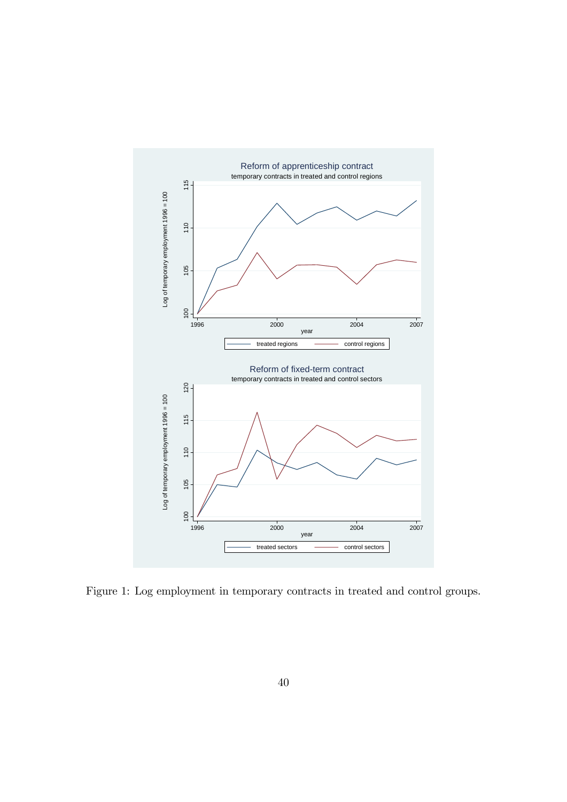

Figure 1: Log employment in temporary contracts in treated and control groups.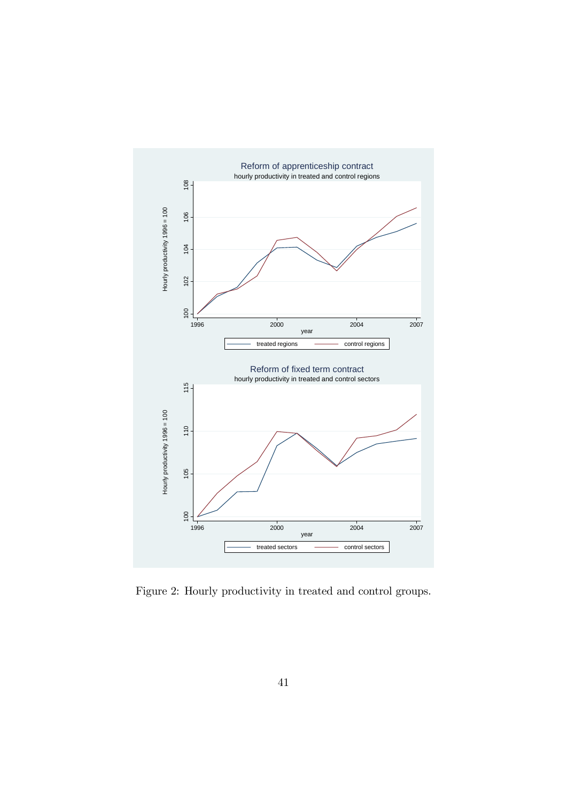

Figure 2: Hourly productivity in treated and control groups.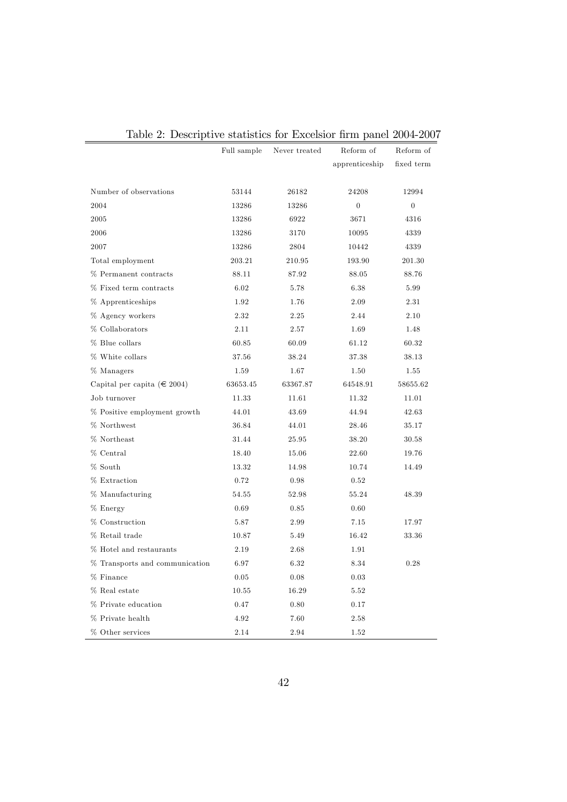|                                  | Full sample | Never treated | Reform of      | Reform of      |
|----------------------------------|-------------|---------------|----------------|----------------|
|                                  |             |               | apprenticeship | fixed term     |
|                                  |             |               |                |                |
| Number of observations           | 53144       | 26182         | 24208          | 12994          |
| 2004                             | 13286       | 13286         | $\overline{0}$ | $\overline{0}$ |
| 2005                             | 13286       | 6922          | 3671           | 4316           |
| 2006                             | 13286       | 3170          | 10095          | 4339           |
| 2007                             | 13286       | 2804          | 10442          | 4339           |
| Total employment                 | 203.21      | 210.95        | 193.90         | 201.30         |
| % Permanent contracts            | 88.11       | 87.92         | 88.05          | 88.76          |
| % Fixed term contracts           | 6.02        | 5.78          | 6.38           | 5.99           |
| % Apprenticeships                | 1.92        | 1.76          | 2.09           | 2.31           |
| % Agency workers                 | 2.32        | 2.25          | 2.44           | 2.10           |
| % Collaborators                  | 2.11        | 2.57          | 1.69           | 1.48           |
| % Blue collars                   | 60.85       | 60.09         | 61.12          | 60.32          |
| % White collars                  | 37.56       | 38.24         | 37.38          | 38.13          |
| $\%$ Managers                    | 1.59        | 1.67          | 1.50           | 1.55           |
| Capital per capita ( $\in$ 2004) | 63653.45    | 63367.87      | 64548.91       | 58655.62       |
| Job turnover                     | 11.33       | 11.61         | 11.32          | 11.01          |
| % Positive employment growth     | 44.01       | 43.69         | 44.94          | 42.63          |
| % Northwest                      | 36.84       | 44.01         | 28.46          | 35.17          |
| % Northeast                      | 31.44       | 25.95         | 38.20          | 30.58          |
| % Central                        | 18.40       | 15.06         | 22.60          | 19.76          |
| % South                          | 13.32       | 14.98         | 10.74          | 14.49          |
| % Extraction                     | 0.72        | 0.98          | 0.52           |                |
| % Manufacturing                  | 54.55       | 52.98         | 55.24          | 48.39          |
| % Energy                         | 0.69        | 0.85          | 0.60           |                |
| % Construction                   | 5.87        | 2.99          | 7.15           | 17.97          |
| % Retail trade                   | 10.87       | 5.49          | 16.42          | 33.36          |
| % Hotel and restaurants          | 2.19        | 2.68          | 1.91           |                |
| % Transports and communication   | 6.97        | 6.32          | 8.34           | 0.28           |
| % Finance                        | 0.05        | 0.08          | 0.03           |                |
| % Real estate                    | 10.55       | 16.29         | 5.52           |                |
| % Private education              | 0.47        | 0.80          | 0.17           |                |
| % Private health                 | 4.92        | 7.60          | 2.58           |                |
| % Other services                 | 2.14        | 2.94          | 1.52           |                |

|  | Table 2: Descriptive statistics for Excelsior firm panel 2004-2007 |  |  |  |  |
|--|--------------------------------------------------------------------|--|--|--|--|
|  |                                                                    |  |  |  |  |

 $\overline{a}$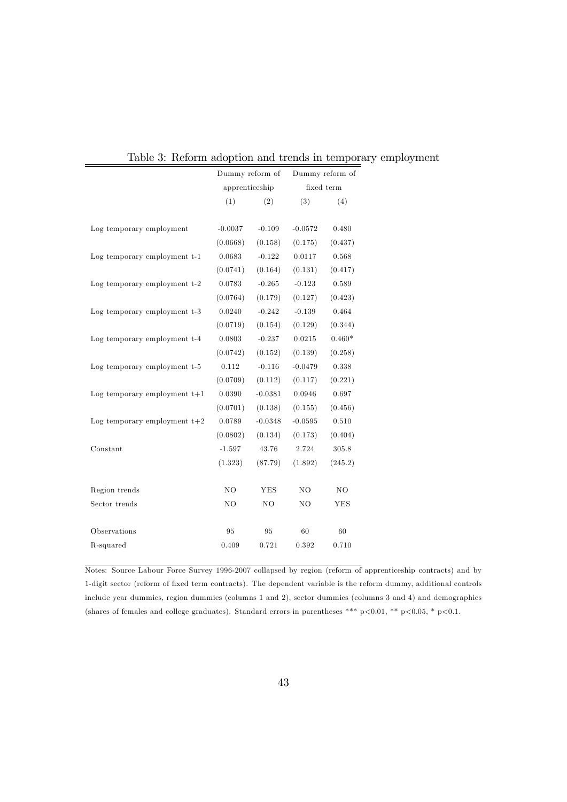| recromm adoption and trends in tempor |                 |           |                |                 |
|---------------------------------------|-----------------|-----------|----------------|-----------------|
|                                       | Dummy reform of |           |                | Dummy reform of |
|                                       | apprenticeship  |           |                | fixed term      |
|                                       | (1)             | (2)       | (3)            | (4)             |
|                                       |                 |           |                |                 |
| Log temporary employment              | $-0.0037$       | $-0.109$  | $-0.0572$      | 0.480           |
|                                       | (0.0668)        | (0.158)   | (0.175)        | (0.437)         |
| Log temporary employment t-1          | 0.0683          | $-0.122$  | 0.0117         | 0.568           |
|                                       | (0.0741)        | (0.164)   | (0.131)        | (0.417)         |
| Log temporary employment t-2          | 0.0783          | $-0.265$  | $-0.123$       | 0.589           |
|                                       | (0.0764)        | (0.179)   | (0.127)        | (0.423)         |
| Log temporary employment t-3          | 0.0240          | $-0.242$  | $-0.139$       | 0.464           |
|                                       | (0.0719)        | (0.154)   | (0.129)        | (0.344)         |
| Log temporary employment t-4          | 0.0803          | $-0.237$  | 0.0215         | $0.460*$        |
|                                       | (0.0742)        | (0.152)   | (0.139)        | (0.258)         |
| Log temporary employment t-5          | 0.112           | $-0.116$  | $-0.0479$      | 0.338           |
|                                       | (0.0709)        | (0.112)   | (0.117)        | (0.221)         |
| Log temporary employment $t+1$        | 0.0390          | $-0.0381$ | 0.0946         | 0.697           |
|                                       | (0.0701)        | (0.138)   | (0.155)        | (0.456)         |
| Log temporary employment $t+2$        | 0.0789          | $-0.0348$ | $-0.0595$      | 0.510           |
|                                       | (0.0802)        | (0.134)   | (0.173)        | (0.404)         |
| Constant                              | $-1.597$        | 43.76     | 2.724          | 305.8           |
|                                       | (1.323)         | (87.79)   | (1.892)        | (245.2)         |
|                                       |                 |           |                |                 |
| Region trends                         | NO              | YES       | N <sub>O</sub> | NO              |
| Sector trends                         | NO              | NO        | NO             | <b>YES</b>      |
|                                       |                 |           |                |                 |
| Observations                          | 95              | 95        | 60             | 60              |
| R-squared                             | 0.409           | 0.721     | 0.392          | 0.710           |
|                                       |                 |           |                |                 |

Table 3: Reform adoption and trends in temporary employment

Notes: Source Labour Force Survey 1996-2007 collapsed by region (reform of apprenticeship contracts) and by 1-digit sector (reform of fixed term contracts). The dependent variable is the reform dummy, additional controls include year dummies, region dummies (columns 1 and 2), sector dummies (columns 3 and 4) and demographics (shares of females and college graduates). Standard errors in parentheses \*\*\* p<0.01, \*\* p<0.05, \* p<0.1.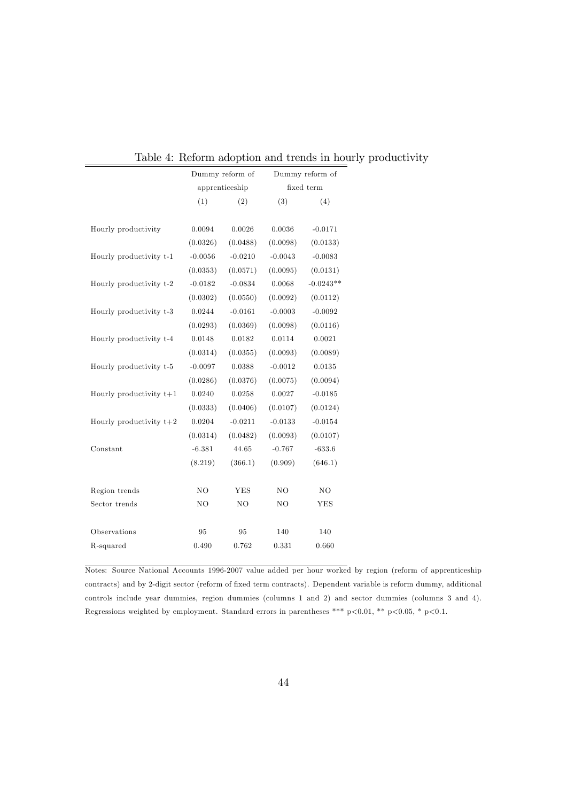|                           |           | Dummy reform of |           | recromm accopatom and aromas in no<br>Dummy reform of |
|---------------------------|-----------|-----------------|-----------|-------------------------------------------------------|
|                           |           | apprenticeship  |           | fixed term                                            |
|                           | (1)       | (2)             | (3)       | (4)                                                   |
|                           |           |                 |           |                                                       |
| Hourly productivity       | 0.0094    | 0.0026          | 0.0036    | $-0.0171$                                             |
|                           | (0.0326)  | (0.0488)        | (0.0098)  | (0.0133)                                              |
| Hourly productivity t-1   | $-0.0056$ | $-0.0210$       | $-0.0043$ | $-0.0083$                                             |
|                           | (0.0353)  | (0.0571)        | (0.0095)  | (0.0131)                                              |
| Hourly productivity t-2   | $-0.0182$ | $-0.0834$       | 0.0068    | $-0.0243**$                                           |
|                           | (0.0302)  | (0.0550)        | (0.0092)  | (0.0112)                                              |
| Hourly productivity t-3   | 0.0244    | $-0.0161$       | $-0.0003$ | $-0.0092$                                             |
|                           | (0.0293)  | (0.0369)        | (0.0098)  | (0.0116)                                              |
| Hourly productivity t-4   | 0.0148    | 0.0182          | 0.0114    | 0.0021                                                |
|                           | (0.0314)  | (0.0355)        | (0.0093)  | (0.0089)                                              |
| Hourly productivity t-5   | $-0.0097$ | 0.0388          | $-0.0012$ | $\,0.0135\,$                                          |
|                           | (0.0286)  | (0.0376)        | (0.0075)  | (0.0094)                                              |
| Hourly productivity $t+1$ | 0.0240    | 0.0258          | 0.0027    | $-0.0185$                                             |
|                           | (0.0333)  | (0.0406)        | (0.0107)  | (0.0124)                                              |
| Hourly productivity $t+2$ | 0.0204    | $-0.0211$       | $-0.0133$ | $-0.0154$                                             |
|                           | (0.0314)  | (0.0482)        | (0.0093)  | (0.0107)                                              |
| Constant                  | $-6.381$  | 44.65           | $-0.767$  | $-633.6$                                              |
|                           | (8.219)   | (366.1)         | (0.909)   | (646.1)                                               |
|                           |           |                 |           |                                                       |
| Region trends             | NO        | <b>YES</b>      | NO        | NO                                                    |
| Sector trends             | NO        | NO              | NO        | <b>YES</b>                                            |
|                           |           |                 |           |                                                       |
| Observations              | 95        | 95              | 140       | 140                                                   |
| R-squared                 | 0.490     | 0.762           | 0.331     | 0.660                                                 |
|                           |           |                 |           |                                                       |

Table 4: Reform adoption and trends in hourly productivity

Notes: Source National Accounts 1996-2007 value added per hour worked by region (reform of apprenticeship contracts) and by 2-digit sector (reform of fixed term contracts). Dependent variable is reform dummy, additional controls include year dummies, region dummies (columns 1 and 2) and sector dummies (columns 3 and 4). Regressions weighted by employment. Standard errors in parentheses \*\*\* p<0.01, \*\* p<0.05, \* p<0.1.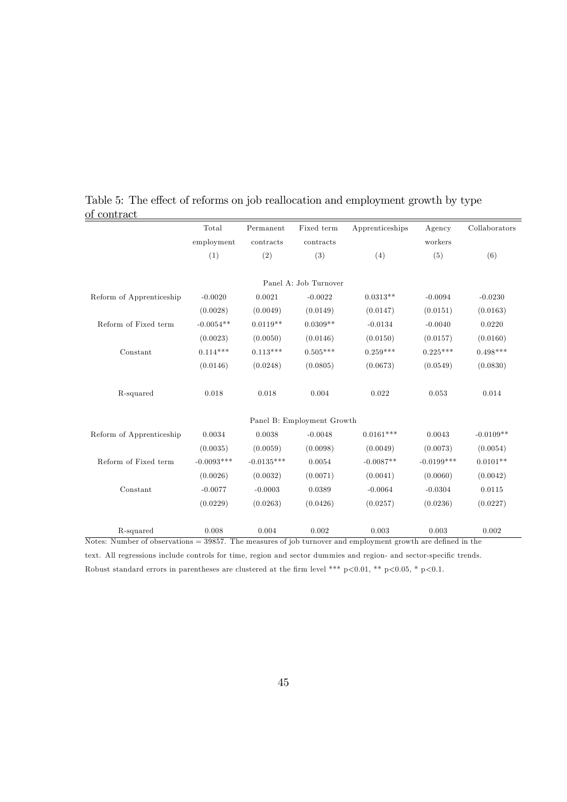|                          | Total        | Permanent    | Fixed term                 | Apprenticeships | Agency       | Collaborators |
|--------------------------|--------------|--------------|----------------------------|-----------------|--------------|---------------|
|                          | employment   | contracts    | contracts                  |                 | workers      |               |
|                          | (1)          | (2)          | (3)                        | (4)             | (5)          | (6)           |
|                          |              |              | Panel A: Job Turnover      |                 |              |               |
| Reform of Apprenticeship | $-0.0020$    | 0.0021       | $-0.0022$                  | $0.0313**$      | $-0.0094$    | $-0.0230$     |
|                          | (0.0028)     | (0.0049)     | (0.0149)                   | (0.0147)        | (0.0151)     | (0.0163)      |
| Reform of Fixed term     | $-0.0054**$  | $0.0119**$   | $0.0309**$                 | $-0.0134$       | $-0.0040$    | 0.0220        |
|                          | (0.0023)     | (0.0050)     | (0.0146)                   | (0.0150)        | (0.0157)     | (0.0160)      |
| Constant                 | $0.114***$   | $0.113***$   | $0.505***$                 | $0.259***$      | $0.225***$   | $0.498***$    |
|                          | (0.0146)     | (0.0248)     | (0.0805)                   | (0.0673)        | (0.0549)     | (0.0830)      |
| R-squared                | 0.018        | 0.018        | 0.004                      | 0.022           | 0.053        | 0.014         |
|                          |              |              | Panel B: Employment Growth |                 |              |               |
| Reform of Apprenticeship | 0.0034       | 0.0038       | $-0.0048$                  | $0.0161***$     | 0.0043       | $-0.0109**$   |
|                          | (0.0035)     | (0.0059)     | (0.0098)                   | (0.0049)        | (0.0073)     | (0.0054)      |
| Reform of Fixed term     | $-0.0093***$ | $-0.0135***$ | 0.0054                     | $-0.0087**$     | $-0.0199***$ | $0.0101**$    |
|                          | (0.0026)     | (0.0032)     | (0.0071)                   | (0.0041)        | (0.0060)     | (0.0042)      |
| Constant                 | $-0.0077$    | $-0.0003$    | 0.0389                     | $-0.0064$       | $-0.0304$    | 0.0115        |
|                          | (0.0229)     | (0.0263)     | (0.0426)                   | (0.0257)        | (0.0236)     | (0.0227)      |
|                          |              |              |                            |                 |              |               |
| R-squared                | 0.008        | 0.004        | 0.002                      | 0.003           | 0.003        | 0.002         |

Table 5: The effect of reforms on job reallocation and employment growth by type of contract

Notes: Number of observations =  $39857$ . The measures of job turnover and employment growth are defined in the text. All regressions include controls for time, region and sector dummies and region- and sector-specific trends.

Robust standard errors in parentheses are clustered at the firm level \*\*\* p $<0.01$ , \*\* p $<0.05$ , \* p $<0.1$ .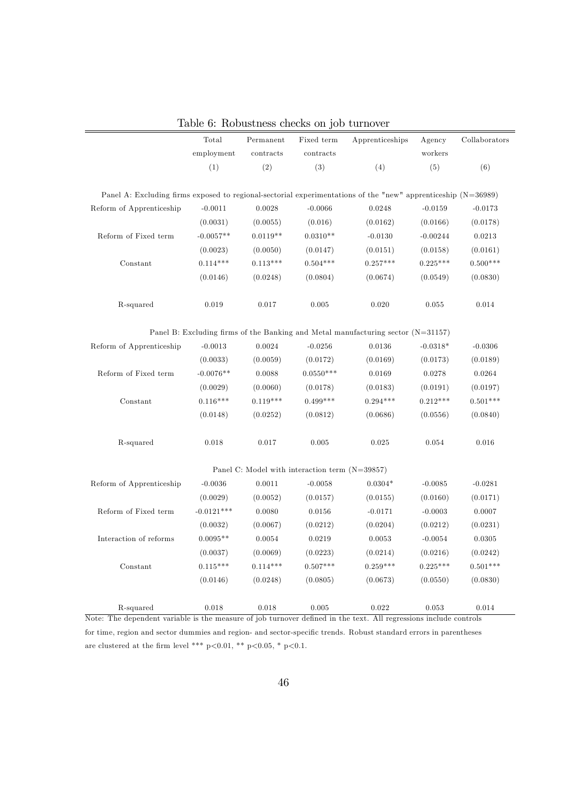|                                                                                                                                | Total        | Permanent    | Fixed term                                       | Apprenticeships                                                                    | Agency     | Collaborators |
|--------------------------------------------------------------------------------------------------------------------------------|--------------|--------------|--------------------------------------------------|------------------------------------------------------------------------------------|------------|---------------|
|                                                                                                                                | employment   | contracts    | contracts                                        |                                                                                    | workers    |               |
|                                                                                                                                | (1)          | (2)          | (3)                                              | (4)                                                                                | (5)        | (6)           |
| Panel A: Excluding firms exposed to regional-sectorial experimentations of the "new" apprenticeship $(N=36989)$                |              |              |                                                  |                                                                                    |            |               |
| Reform of Apprenticeship                                                                                                       | $-0.0011$    | 0.0028       | $-0.0066$                                        | 0.0248                                                                             | $-0.0159$  | $-0.0173$     |
|                                                                                                                                | (0.0031)     | (0.0055)     | (0.016)                                          | (0.0162)                                                                           | (0.0166)   | (0.0178)      |
| Reform of Fixed term                                                                                                           | $-0.0057**$  | $0.0119**$   | $0.0310**$                                       | $-0.0130$                                                                          | $-0.00244$ | $\,0.0213\,$  |
|                                                                                                                                | (0.0023)     | (0.0050)     | (0.0147)                                         | (0.0151)                                                                           | (0.0158)   | (0.0161)      |
| Constant                                                                                                                       | $0.114***$   | $0.113***$   | $0.504***$                                       | $0.257***$                                                                         | $0.225***$ | $0.500***$    |
|                                                                                                                                | (0.0146)     | (0.0248)     | (0.0804)                                         | (0.0674)                                                                           | (0.0549)   | (0.0830)      |
| R-squared                                                                                                                      | 0.019        | 0.017        | 0.005                                            | 0.020                                                                              | 0.055      | 0.014         |
|                                                                                                                                |              |              |                                                  | Panel B: Excluding firms of the Banking and Metal manufacturing sector $(N=31157)$ |            |               |
| Reform of Apprenticeship                                                                                                       | $-0.0013$    | 0.0024       | $-0.0256$                                        | 0.0136                                                                             | $-0.0318*$ | $-0.0306$     |
|                                                                                                                                | (0.0033)     | (0.0059)     | (0.0172)                                         | (0.0169)                                                                           | (0.0173)   | (0.0189)      |
| Reform of Fixed term                                                                                                           | $-0.0076**$  | 0.0088       | $0.0550***$                                      | 0.0169                                                                             | 0.0278     | 0.0264        |
|                                                                                                                                | (0.0029)     | (0.0060)     | (0.0178)                                         | (0.0183)                                                                           | (0.0191)   | (0.0197)      |
| Constant                                                                                                                       | $0.116***$   | $0.119***$   | $0.499***$                                       | $0.294***$                                                                         | $0.212***$ | $0.501***$    |
|                                                                                                                                | (0.0148)     | (0.0252)     | (0.0812)                                         | (0.0686)                                                                           | (0.0556)   | (0.0840)      |
| R-squared                                                                                                                      | 0.018        | 0.017        | 0.005                                            | 0.025                                                                              | 0.054      | 0.016         |
|                                                                                                                                |              |              | Panel C: Model with interaction term $(N=39857)$ |                                                                                    |            |               |
| Reform of Apprenticeship                                                                                                       | $-0.0036$    | 0.0011       | $-0.0058$                                        | $0.0304*$                                                                          | $-0.0085$  | $-0.0281$     |
|                                                                                                                                | (0.0029)     | (0.0052)     | (0.0157)                                         | (0.0155)                                                                           | (0.0160)   | (0.0171)      |
| Reform of Fixed term                                                                                                           | $-0.0121***$ | 0.0080       | 0.0156                                           | $-0.0171$                                                                          | $-0.0003$  | 0.0007        |
|                                                                                                                                | (0.0032)     | (0.0067)     | (0.0212)                                         | (0.0204)                                                                           | (0.0212)   | (0.0231)      |
| Interaction of reforms                                                                                                         | $0.0095**$   | $\,0.0054\,$ | 0.0219                                           | 0.0053                                                                             | $-0.0054$  | $\,0.0305\,$  |
|                                                                                                                                | (0.0037)     | (0.0069)     | (0.0223)                                         | (0.0214)                                                                           | (0.0216)   | (0.0242)      |
| Constant                                                                                                                       | $0.115***$   | $0.114***$   | $0.507***$                                       | $0.259***$                                                                         | $0.225***$ | $0.501***$    |
|                                                                                                                                | (0.0146)     | (0.0248)     | (0.0805)                                         | (0.0673)                                                                           | (0.0550)   | (0.0830)      |
| R-squared<br>Note: The dependent variable is the measure of job turnover defined in the text. All regressions include controls | 0.018        | 0.018        | 0.005                                            | 0.022                                                                              | 0.053      | 0.014         |

Table 6: Robustness checks on job turnover

for time, region and sector dummies and region- and sector-specific trends. Robust standard errors in parentheses are clustered at the firm level \*\*\* p<0.01, \*\* p<0.05, \* p<0.1.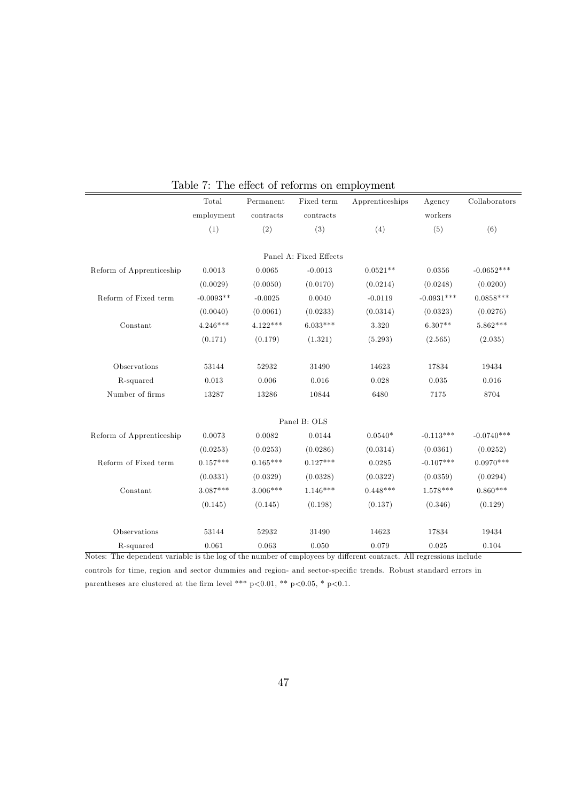|                          | Total       | Permanent  | Fixed term             | Apprenticeships | Agency       | Collaborators |
|--------------------------|-------------|------------|------------------------|-----------------|--------------|---------------|
|                          | employment  | contracts  | contracts              |                 | workers      |               |
|                          | (1)         | (2)        | (3)                    | (4)             | (5)          | (6)           |
|                          |             |            | Panel A: Fixed Effects |                 |              |               |
|                          | 0.0013      | 0.0065     | $-0.0013$              | $0.0521**$      | 0.0356       | $-0.0652***$  |
| Reform of Apprenticeship |             |            |                        |                 |              |               |
|                          | (0.0029)    | (0.0050)   | (0.0170)               | (0.0214)        | (0.0248)     | (0.0200)      |
| Reform of Fixed term     | $-0.0093**$ | $-0.0025$  | 0.0040                 | $-0.0119$       | $-0.0931***$ | $0.0858***$   |
|                          | (0.0040)    | (0.0061)   | (0.0233)               | (0.0314)        | (0.0323)     | (0.0276)      |
| Constant                 | $4.246***$  | $4.122***$ | $6.033***$             | 3.320           | $6.307**$    | $5.862***$    |
|                          | (0.171)     | (0.179)    | (1.321)                | (5.293)         | (2.565)      | (2.035)       |
| Observations             | 53144       | 52932      | 31490                  | 14623           | 17834        | 19434         |
| R-squared                | 0.013       | 0.006      | 0.016                  | 0.028           | 0.035        | 0.016         |
| Number of firms          | 13287       | 13286      | 10844                  | 6480            | 7175         | 8704          |
|                          |             |            | Panel B: OLS           |                 |              |               |
| Reform of Apprenticeship | 0.0073      | 0.0082     | 0.0144                 | $0.0540*$       | $-0.113***$  | $-0.0740***$  |
|                          | (0.0253)    | (0.0253)   | (0.0286)               | (0.0314)        | (0.0361)     | (0.0252)      |
| Reform of Fixed term     | $0.157***$  | $0.165***$ | $0.127***$             | 0.0285          | $-0.107***$  | $0.0970***$   |
|                          | (0.0331)    | (0.0329)   | (0.0328)               | (0.0322)        | (0.0359)     | (0.0294)      |
| Constant                 | $3.087***$  | $3.006***$ | $1.146***$             | $0.448***$      | $1.578***$   | $0.860***$    |
|                          | (0.145)     | (0.145)    | (0.198)                | (0.137)         | (0.346)      | (0.129)       |
| Observations             | 53144       | 52932      | 31490                  | 14623           | 17834        | 19434         |
| R-squared                | 0.061       | 0.063      | 0.050                  | 0.079           | 0.025        | 0.104         |

### Table 7: The effect of reforms on employment

controls for time, region and sector dummies and region- and sector-specific trends. Robust standard errors in parentheses are clustered at the firm level \*\*\* p<0.01, \*\* p<0.05, \* p<0.1.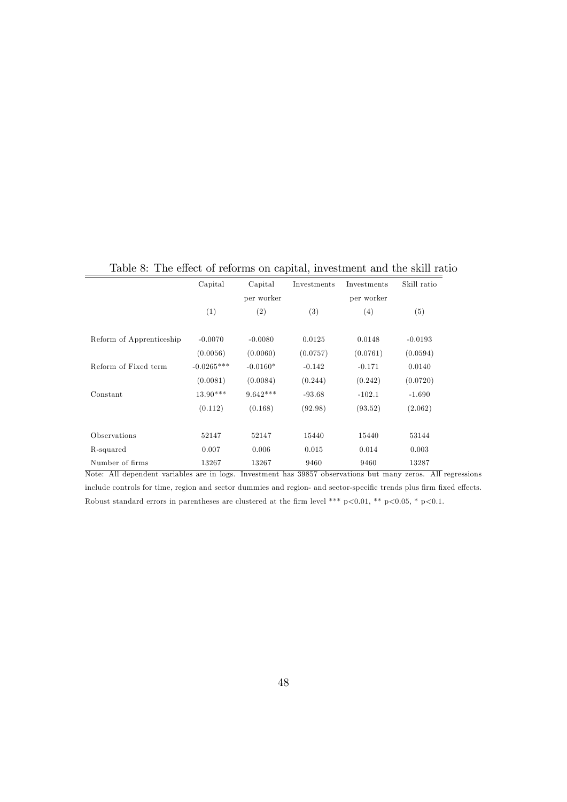|                          | Capital      | Capital    | Investments | Investments | Skill ratio |
|--------------------------|--------------|------------|-------------|-------------|-------------|
|                          |              | per worker |             | per worker  |             |
|                          | (1)          | (2)        | (3)         | (4)         | (5)         |
| Reform of Apprenticeship | $-0.0070$    | $-0.0080$  | 0.0125      | 0.0148      | $-0.0193$   |
|                          | (0.0056)     | (0.0060)   | (0.0757)    | (0.0761)    | (0.0594)    |
| Reform of Fixed term     | $-0.0265***$ | $-0.0160*$ | $-0.142$    | $-0.171$    | 0.0140      |
|                          | (0.0081)     | (0.0084)   | (0.244)     | (0.242)     | (0.0720)    |
| Constant                 | $13.90***$   | $9.642***$ | $-93.68$    | $-102.1$    | $-1.690$    |
|                          | (0.112)      | (0.168)    | (92.98)     | (93.52)     | (2.062)     |
| Observations             | 52147        | 52147      | 15440       | 15440       | 53144       |
| R-squared                | 0.007        | 0.006      | 0.015       | 0.014       | 0.003       |
| Number of firms          | 13267        | 13267      | 9460        | 9460        | 13287       |

Table 8: The effect of reforms on capital, investment and the skill ratio

include controls for time, region and sector dummies and region- and sector-specific trends plus firm fixed effects. Robust standard errors in parentheses are clustered at the firm level \*\*\* p<0.01, \*\* p<0.05, \* p<0.1.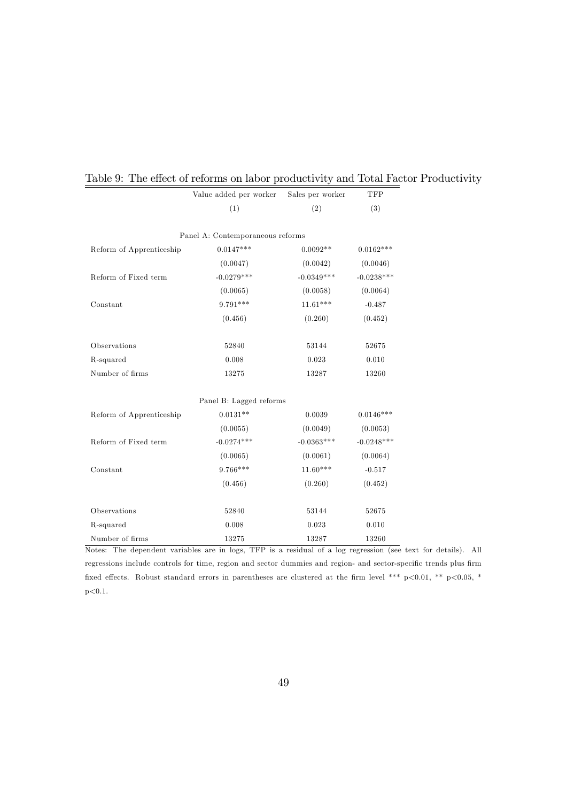|                          | Value added per worker           | Sales per worker | $\ensuremath{\mathcal{T}\mathcal{F}\mathcal{P}}$ |
|--------------------------|----------------------------------|------------------|--------------------------------------------------|
|                          | (1)                              | (2)              | (3)                                              |
|                          | Panel A: Contemporaneous reforms |                  |                                                  |
| Reform of Apprenticeship | $0.0147***$                      | $0.0092**$       | $0.0162***$                                      |
|                          | (0.0047)                         | (0.0042)         | (0.0046)                                         |
| Reform of Fixed term     | $-0.0279***$                     | $-0.0349***$     | $-0.0238***$                                     |
|                          | (0.0065)                         | (0.0058)         | (0.0064)                                         |
| Constant                 | $9.791***$                       | $11.61***$       | $-0.487$                                         |
|                          | (0.456)                          | (0.260)          | (0.452)                                          |
| Observations             | 52840                            | 53144            | 52675                                            |
| R-squared                | 0.008                            | 0.023            | 0.010                                            |
| Number of firms          | 13275                            | 13287            | 13260                                            |
|                          | Panel B: Lagged reforms          |                  |                                                  |
| Reform of Apprenticeship | $0.0131**$                       | 0.0039           | $0.0146***$                                      |
|                          | (0.0055)                         | (0.0049)         | (0.0053)                                         |
| Reform of Fixed term     | $-0.0274***$                     | $-0.0363***$     | $-0.0248***$                                     |
|                          | (0.0065)                         | (0.0061)         | (0.0064)                                         |
| Constant                 | $9.766***$                       | $11.60***$       | $-0.517$                                         |
|                          | (0.456)                          | (0.260)          | (0.452)                                          |
| Observations             | 52840                            | 53144            | 52675                                            |
| R-squared                | 0.008                            | 0.023            | 0.010                                            |
| Number of firms          | 13275                            | 13287            | 13260                                            |

# Table 9: The effect of reforms on labor productivity and Total Factor Productivity

Notes: The dependent variables are in logs, TFP is a residual of a log regression (see text for details). All regressions include controls for time, region and sector dummies and region- and sector-specific trends plus firm fixed effects. Robust standard errors in parentheses are clustered at the firm level \*\*\* p<0.01, \*\* p<0.05, \*  $p < 0.1$ .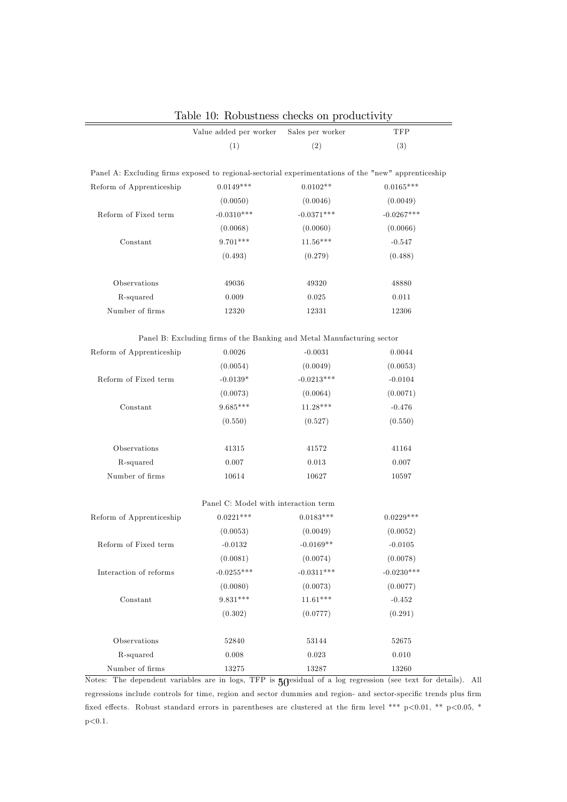|                                                                                                     | Value added per worker                                                 | Sales per worker | TFP          |
|-----------------------------------------------------------------------------------------------------|------------------------------------------------------------------------|------------------|--------------|
|                                                                                                     | (1)                                                                    | (2)              | (3)          |
|                                                                                                     |                                                                        |                  |              |
| Panel A: Excluding firms exposed to regional-sectorial experimentations of the "new" apprenticeship |                                                                        |                  |              |
| Reform of Apprenticeship                                                                            | $0.0149***$                                                            | $0.0102**$       | $0.0165***$  |
|                                                                                                     | (0.0050)                                                               | (0.0046)         | (0.0049)     |
| Reform of Fixed term                                                                                | $-0.0310***$                                                           | $-0.0371***$     | $-0.0267***$ |
|                                                                                                     | (0.0068)                                                               | (0.0060)         | (0.0066)     |
| Constant                                                                                            | $9.701***$                                                             | $11.56***$       | $-0.547$     |
|                                                                                                     | (0.493)                                                                | (0.279)          | (0.488)      |
| Observations                                                                                        | 49036                                                                  | 49320            | 48880        |
| R-squared                                                                                           | 0.009                                                                  | 0.025            | 0.011        |
| Number of firms                                                                                     | 12320                                                                  | 12331            | 12306        |
|                                                                                                     |                                                                        |                  |              |
|                                                                                                     | Panel B: Excluding firms of the Banking and Metal Manufacturing sector |                  |              |
| Reform of Apprenticeship                                                                            | 0.0026                                                                 | $-0.0031$        | 0.0044       |
|                                                                                                     | (0.0054)                                                               | (0.0049)         | (0.0053)     |
| Reform of Fixed term                                                                                | $-0.0139*$                                                             | $-0.0213***$     | $-0.0104$    |
|                                                                                                     | (0.0073)                                                               | (0.0064)         | (0.0071)     |
| Constant                                                                                            | $9.685***$                                                             | $11.28***$       | $-0.476$     |
|                                                                                                     | (0.550)                                                                | (0.527)          | (0.550)      |
| Observations                                                                                        | 41315                                                                  | 41572            | 41164        |
| R-squared                                                                                           | 0.007                                                                  | 0.013            | 0.007        |
| Number of firms                                                                                     | 10614                                                                  | 10627            | 10597        |
|                                                                                                     | Panel C: Model with interaction term                                   |                  |              |
| Reform of Apprenticeship                                                                            | $0.0221***$                                                            | $0.0183***$      | $0.0229***$  |
|                                                                                                     | (0.0053)                                                               | (0.0049)         | (0.0052)     |
| Reform of Fixed term                                                                                | $-0.0132$                                                              | $-0.0169**$      | $-0.0105$    |
|                                                                                                     | (0.0081)                                                               | (0.0074)         | (0.0078)     |
| Interaction of reforms                                                                              | $-0.0255***$                                                           | $-0.0311***$     | $-0.0230***$ |
|                                                                                                     | (0.0080)                                                               | (0.0073)         | (0.0077)     |
| Constant                                                                                            | $9.831***$                                                             | $11.61***$       | $-0.452$     |
|                                                                                                     | (0.302)                                                                | (0.0777)         | (0.291)      |
|                                                                                                     |                                                                        |                  |              |
| Observations                                                                                        | 52840                                                                  | 53144            | 52675        |
| R-squared                                                                                           | 0.008                                                                  | 0.023            | 0.010        |
| Number of firms                                                                                     | 13275                                                                  | 13287            | 13260        |

Table 10: Robustness checks on productivity

Notes: The dependent variables are in logs, TFP is  $50^{\circ}$  esidual of a log regression (see text for details). All regressions include controls for time, region and sector dummies and region- and sector-specific trends plus firm fixed effects. Robust standard errors in parentheses are clustered at the firm level \*\*\* p<0.01, \*\* p<0.05, \*  $p<0.1$ .